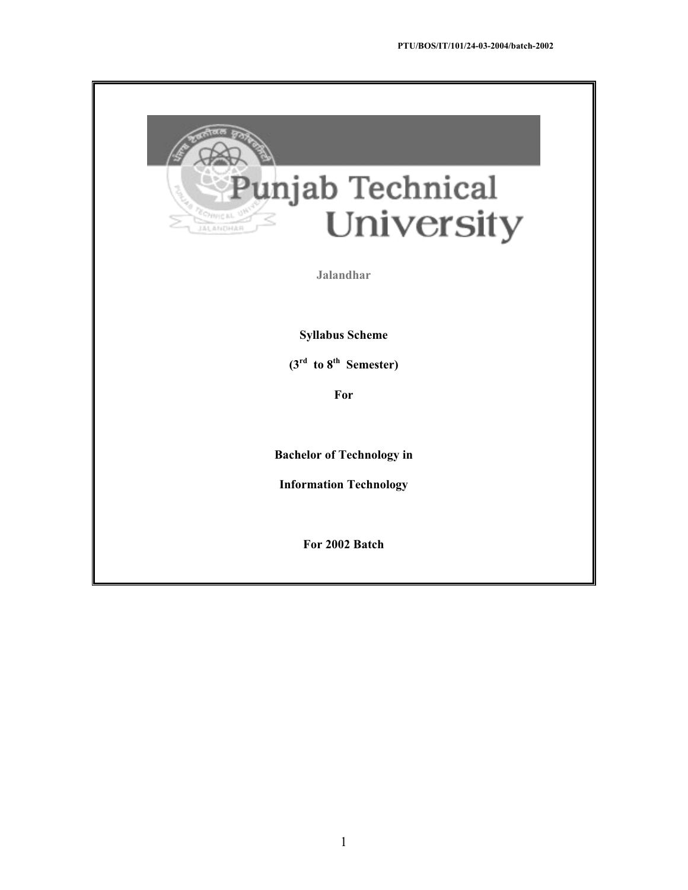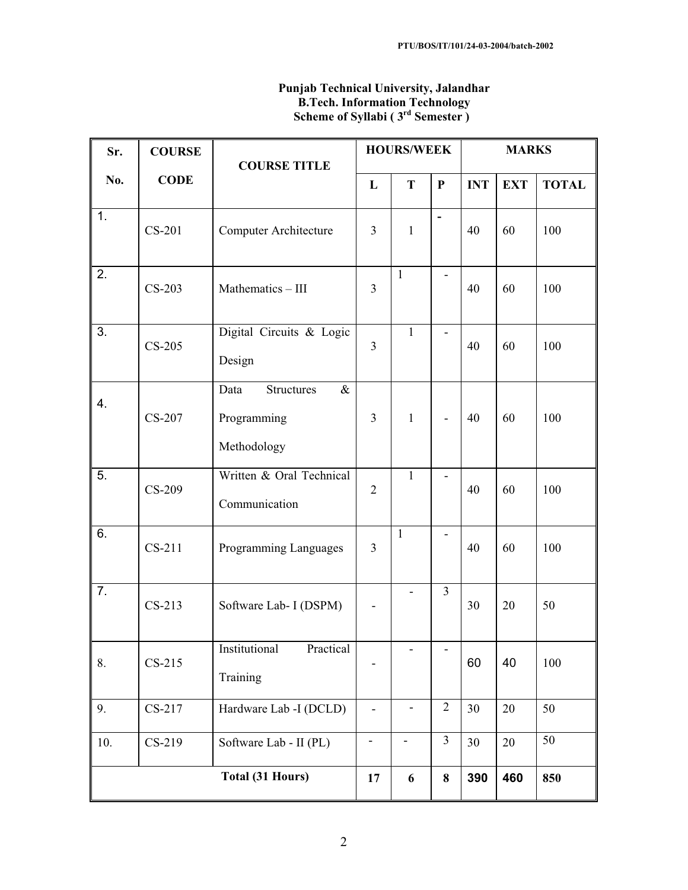| Sr. | <b>COURSE</b> | <b>COURSE TITLE</b>                                             |                          | <b>HOURS/WEEK</b>        |                | <b>MARKS</b> |            |              |
|-----|---------------|-----------------------------------------------------------------|--------------------------|--------------------------|----------------|--------------|------------|--------------|
| No. | <b>CODE</b>   |                                                                 | L                        | T                        | $\mathbf P$    | <b>INT</b>   | <b>EXT</b> | <b>TOTAL</b> |
| 1.  | CS-201        | Computer Architecture                                           | $\overline{3}$           | $\mathbf{1}$             | $\overline{a}$ | 40           | 60         | 100          |
| 2.  | $CS-203$      | Mathematics - III                                               | $\overline{3}$           | $\mathbf{1}$             |                | 40           | 60         | 100          |
| 3.  | $CS-205$      | Digital Circuits & Logic<br>Design                              | $\overline{3}$           | $\mathbf 1$              |                | 40           | 60         | 100          |
| 4.  | CS-207        | Data<br><b>Structures</b><br>$\&$<br>Programming<br>Methodology | $\overline{3}$           | $\mathbf{1}$             |                | 40           | 60         | 100          |
| 5.  | CS-209        | Written & Oral Technical<br>Communication                       | $\overline{2}$           | $\mathbf{1}$             |                | 40           | 60         | 100          |
| 6.  | CS-211        | Programming Languages                                           | $\overline{3}$           | $\mathbf{1}$             |                | 40           | 60         | 100          |
| 7.  | $CS-213$      | Software Lab- I (DSPM)                                          |                          |                          | $\overline{3}$ | 30           | 20         | 50           |
| 8.  | $CS-215$      | Institutional<br>Practical<br>Training                          |                          | $\overline{\phantom{0}}$ | ٠              | 60           | 40         | 100          |
| 9.  | CS-217        | Hardware Lab -I (DCLD)                                          | $\blacksquare$           |                          | $\sqrt{2}$     | 30           | 20         | 50           |
| 10. | $CS-219$      | Software Lab - II (PL)                                          | $\overline{\phantom{a}}$ | -                        | $\overline{3}$ | 30           | 20         | 50           |
|     |               | Total (31 Hours)                                                | 17                       | 6                        | $\bf 8$        | 390          | 460        | 850          |

## **Punjab Technical University, Jalandhar B.Tech. Information Technology Scheme of Syllabi ( 3rd Semester )**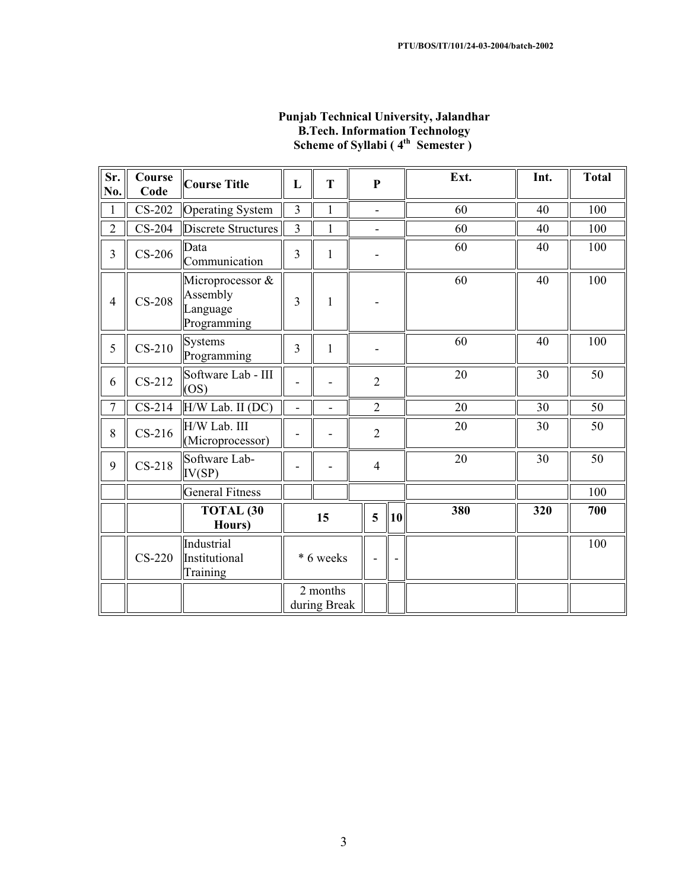| Sr.<br>No.     | Course<br>Code | <b>Course Title</b>                                     | L                       | T                        | $\mathbf{P}$   |                          | Ext. | Int. | <b>Total</b> |
|----------------|----------------|---------------------------------------------------------|-------------------------|--------------------------|----------------|--------------------------|------|------|--------------|
| $\mathbf{1}$   | $CS-202$       | <b>Operating System</b>                                 | $\overline{3}$          | $\mathbf{1}$             |                |                          | 60   | 40   | 100          |
| $\overline{2}$ | $CS-204$       | Discrete Structures                                     | $\overline{3}$          | $\mathbf{1}$             | ÷              |                          | 60   | 40   | 100          |
| $\overline{3}$ | $CS-206$       | Data<br>Communication                                   | $\overline{\mathbf{3}}$ | $\mathbf{1}$             |                |                          | 60   | 40   | 100          |
| $\overline{4}$ | $CS-208$       | Microprocessor &<br>Assembly<br>Language<br>Programming | $\overline{3}$          | 1                        |                |                          | 60   | 40   | 100          |
| 5              | $CS-210$       | <b>Systems</b><br>Programming                           | $\overline{3}$          | $\mathbf{1}$             |                |                          | 60   | 40   | 100          |
| 6              | $CS-212$       | Software Lab - III<br>(OS)                              |                         |                          | $\overline{2}$ |                          | 20   | 30   | 50           |
| $\overline{7}$ | $CS-214$       | H/W Lab. II (DC)                                        | ä,                      |                          | $\overline{2}$ |                          | 20   | 30   | 50           |
| 8              | $CS-216$       | H/W Lab. III<br>(Microprocessor)                        |                         |                          | $\overline{2}$ |                          | 20   | 30   | 50           |
| 9              | $CS-218$       | Software Lab-<br>IV(SP)                                 |                         |                          | $\overline{4}$ |                          | 20   | 30   | 50           |
|                |                | <b>General Fitness</b>                                  |                         |                          |                |                          |      |      | 100          |
|                |                | <b>TOTAL (30</b><br>Hours)                              |                         | 15                       | 5              | $ 10\rangle$             | 380  | 320  | 700          |
|                | $CS-220$       | Industrial<br>Institutional<br>Training                 |                         | * 6 weeks                |                | $\overline{\phantom{a}}$ |      |      | 100          |
|                |                |                                                         |                         | 2 months<br>during Break |                |                          |      |      |              |

## **Punjab Technical University, Jalandhar B.Tech. Information Technology Scheme of Syllabi (4<sup>th</sup> Semester)**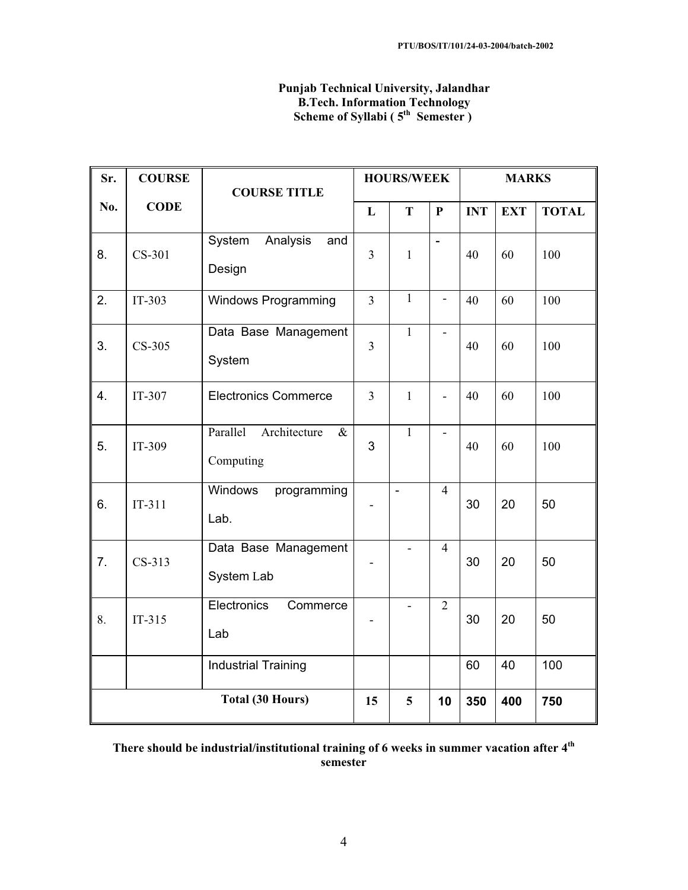## **Punjab Technical University, Jalandhar B.Tech. Information Technology Scheme of Syllabi (5<sup>th</sup> Semester)**

| Sr. | <b>COURSE</b> | <b>COURSE TITLE</b>                           | <b>HOURS/WEEK</b>       |              |                          | <b>MARKS</b> |            |              |
|-----|---------------|-----------------------------------------------|-------------------------|--------------|--------------------------|--------------|------------|--------------|
| No. | <b>CODE</b>   |                                               | L                       | T            | $\mathbf P$              | <b>INT</b>   | <b>EXT</b> | <b>TOTAL</b> |
| 8.  | CS-301        | Analysis<br>System<br>and<br>Design           | $\overline{\mathbf{3}}$ | $\mathbf{1}$ | $\overline{a}$           | 40           | 60         | 100          |
| 2.  | $IT-303$      | Windows Programming                           | $\overline{3}$          | $\mathbf{1}$ | $\overline{\phantom{0}}$ | 40           | 60         | 100          |
| 3.  | CS-305        | Data Base Management<br>System                | $\overline{3}$          | $\mathbf{1}$ | ä,                       | 40           | 60         | 100          |
| 4.  | IT-307        | <b>Electronics Commerce</b>                   | $\overline{3}$          | $\mathbf{1}$ | $\overline{a}$           | 40           | 60         | 100          |
| 5.  | IT-309        | Parallel<br>Architecture<br>$\&$<br>Computing | 3                       | $\mathbf{1}$ | $\overline{\phantom{a}}$ | 40           | 60         | 100          |
| 6.  | $IT-311$      | Windows<br>programming<br>Lab.                |                         | ÷,           | $\overline{4}$           | 30           | 20         | 50           |
| 7.  | $CS-313$      | Data Base Management<br>System Lab            |                         |              | $\overline{4}$           | 30           | 20         | 50           |
| 8.  | $IT-315$      | Electronics<br>Commerce<br>Lab                |                         |              | $\overline{2}$           | 30           | 20         | 50           |
|     |               | <b>Industrial Training</b>                    |                         |              |                          | 60           | 40         | 100          |
|     |               | Total (30 Hours)                              | 15                      | 5            | 10                       | 350          | 400        | 750          |

## **There should be industrial/institutional training of 6 weeks in summer vacation after 4th semester**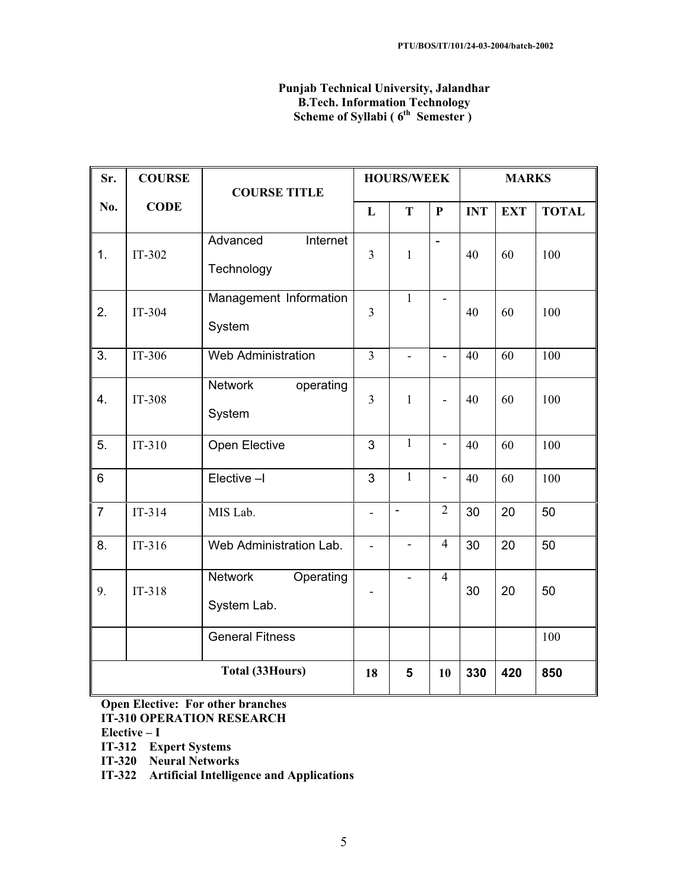## **Punjab Technical University, Jalandhar B.Tech. Information Technology Scheme of Syllabi (6<sup>th</sup> Semester)**

| Sr.              | <b>COURSE</b> | <b>COURSE TITLE</b>                   | <b>HOURS/WEEK</b>        |                |                          | <b>MARKS</b> |            |              |
|------------------|---------------|---------------------------------------|--------------------------|----------------|--------------------------|--------------|------------|--------------|
| No.              | <b>CODE</b>   |                                       | L                        | T              | $\mathbf P$              | <b>INT</b>   | <b>EXT</b> | <b>TOTAL</b> |
| 1.               | IT-302        | Advanced<br>Internet<br>Technology    | $\overline{3}$           | $\mathbf{1}$   | $\overline{a}$           | 40           | 60         | 100          |
| 2.               | IT-304        | Management Information<br>System      | $\overline{3}$           | $\mathbf{1}$   | $\overline{\phantom{0}}$ | 40           | 60         | 100          |
| $\overline{3}$ . | IT-306        | <b>Web Administration</b>             | $\overline{3}$           |                | ÷,                       | 40           | 60         | 100          |
| 4.               | IT-308        | <b>Network</b><br>operating<br>System | $\overline{3}$           | 1              |                          | 40           | 60         | 100          |
| 5.               | $IT-310$      | Open Elective                         | 3                        | $\mathbf{1}$   | $\overline{\phantom{a}}$ | 40           | 60         | 100          |
| $\,6$            |               | Elective-I                            | 3                        | $\mathbf{1}$   | $\overline{\phantom{m}}$ | 40           | 60         | 100          |
| $\overline{7}$   | $IT-314$      | MIS Lab.                              | $\overline{\phantom{a}}$ | $\overline{a}$ | $\overline{2}$           | 30           | 20         | 50           |
| 8.               | $IT-316$      | Web Administration Lab.               |                          | ÷,             | $\overline{4}$           | 30           | 20         | 50           |
| 9.               | $IT-318$      | Network<br>Operating<br>System Lab.   |                          |                | $\overline{4}$           | 30           | 20         | 50           |
|                  |               | <b>General Fitness</b>                |                          |                |                          |              |            | 100          |
|                  |               | <b>Total (33Hours)</b>                | 18                       | 5              | 10                       | 330          | 420        | 850          |

# **Open Elective: For other branches**

**IT-310 OPERATION RESEARCH**

- **Elective I**
- **IT-312 Expert Systems**
- **IT-320 Neural Networks**
- **IT-322 Artificial Intelligence and Applications**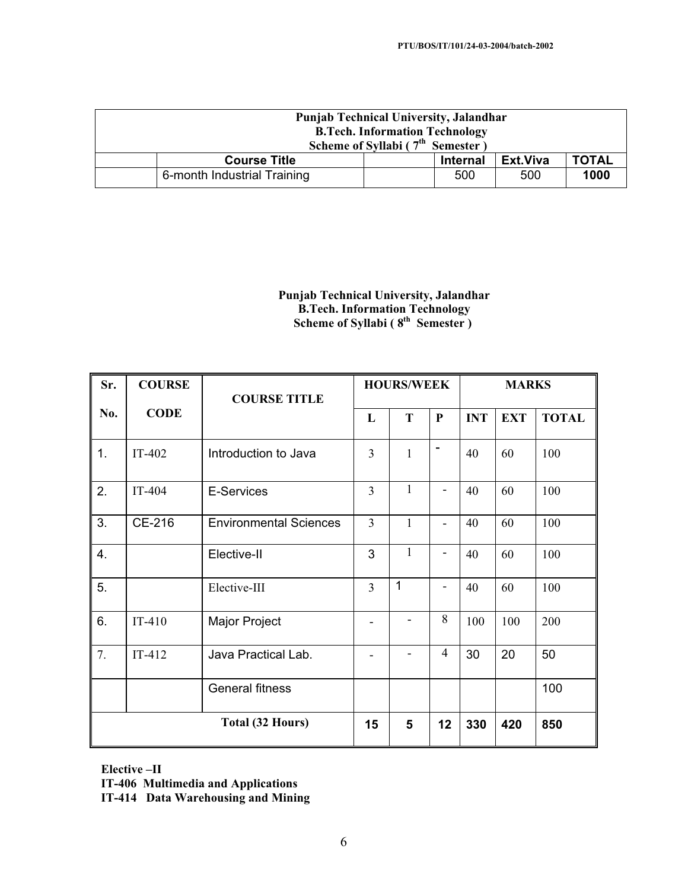| <b>Punjab Technical University, Jalandhar</b> |  |                 |          |              |  |  |
|-----------------------------------------------|--|-----------------|----------|--------------|--|--|
| <b>B.Tech. Information Technology</b>         |  |                 |          |              |  |  |
| Scheme of Syllabi ( $7th$ Semester)           |  |                 |          |              |  |  |
| <b>Course Title</b>                           |  | <b>Internal</b> | Ext.Viva | <b>TOTAL</b> |  |  |
| 6-month Industrial Training                   |  | 500             | 500      | 1000         |  |  |

## **Punjab Technical University, Jalandhar B.Tech. Information Technology Scheme of Syllabi (8<sup>th</sup> Semester)**

| Sr. | <b>COURSE</b> | <b>COURSE TITLE</b>           |                | <b>HOURS/WEEK</b> |                          | <b>MARKS</b> |            |              |
|-----|---------------|-------------------------------|----------------|-------------------|--------------------------|--------------|------------|--------------|
| No. | <b>CODE</b>   |                               | L              | T                 | $\mathbf{P}$             | <b>INT</b>   | <b>EXT</b> | <b>TOTAL</b> |
| 1.  | IT-402        | Introduction to Java          | $\overline{3}$ | $\mathbf{1}$      |                          | 40           | 60         | 100          |
| 2.  | IT-404        | E-Services                    | $\overline{3}$ | 1                 | $\overline{\phantom{0}}$ | 40           | 60         | 100          |
| 3.  | CE-216        | <b>Environmental Sciences</b> | $\overline{3}$ | $\mathbf{1}$      | ۰                        | 40           | 60         | 100          |
| 4.  |               | Elective-II                   | 3              | $\mathbf{1}$      | $\overline{\phantom{0}}$ | 40           | 60         | 100          |
| 5.  |               | Elective-III                  | $\overline{3}$ | 1                 | -                        | 40           | 60         | 100          |
| 6.  | $IT-410$      | Major Project                 |                |                   | 8                        | 100          | 100        | 200          |
| 7.  | $IT-412$      | Java Practical Lab.           |                |                   | $\overline{4}$           | 30           | 20         | 50           |
|     |               | <b>General fitness</b>        |                |                   |                          |              |            | 100          |
|     |               | Total (32 Hours)              | 15             | 5                 | 12                       | 330          | 420        | 850          |

**Elective –II** 

**IT-406 Multimedia and Applications** 

**IT-414 Data Warehousing and Mining**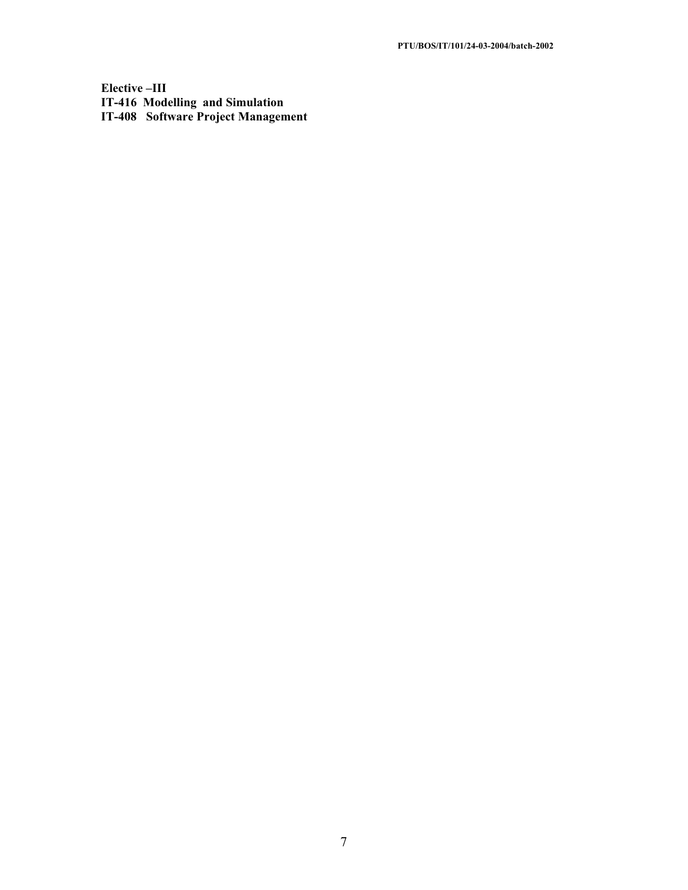**Elective –III IT-416 Modelling and Simulation IT-408 Software Project Management**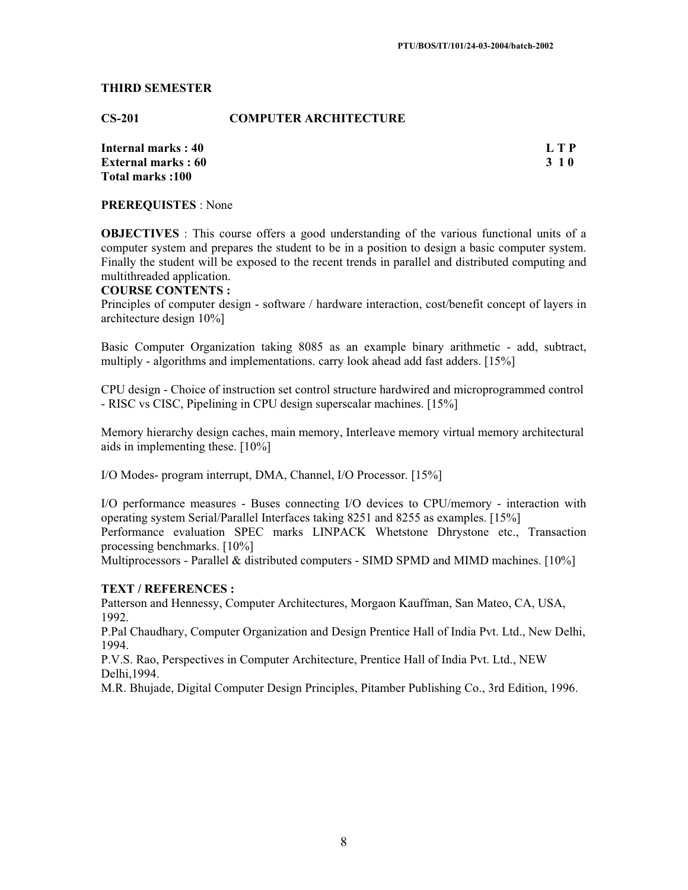#### **THIRD SEMESTER**

**CS-201 COMPUTER ARCHITECTURE** 

**Internal marks : 40 L T P External marks : 60 3 1 0 Total marks :100** 

**PREREQUISTES** : None

**OBJECTIVES** : This course offers a good understanding of the various functional units of a computer system and prepares the student to be in a position to design a basic computer system. Finally the student will be exposed to the recent trends in parallel and distributed computing and multithreaded application.

#### **COURSE CONTENTS :**

Principles of computer design - software / hardware interaction, cost/benefit concept of layers in architecture design 10%]

Basic Computer Organization taking 8085 as an example binary arithmetic - add, subtract, multiply - algorithms and implementations. carry look ahead add fast adders. [15%]

CPU design - Choice of instruction set control structure hardwired and microprogrammed control - RISC vs CISC, Pipelining in CPU design superscalar machines. [15%]

Memory hierarchy design caches, main memory, Interleave memory virtual memory architectural aids in implementing these. [10%]

I/O Modes- program interrupt, DMA, Channel, I/O Processor. [15%]

I/O performance measures - Buses connecting I/O devices to CPU/memory - interaction with operating system Serial/Parallel Interfaces taking 8251 and 8255 as examples. [15%] Performance evaluation SPEC marks LINPACK Whetstone Dhrystone etc., Transaction processing benchmarks. [10%]

Multiprocessors - Parallel & distributed computers - SIMD SPMD and MIMD machines.  $[10\%]$ 

## **TEXT / REFERENCES :**

Patterson and Hennessy, Computer Architectures, Morgaon Kauffman, San Mateo, CA, USA, 1992.

P.Pal Chaudhary, Computer Organization and Design Prentice Hall of India Pvt. Ltd., New Delhi, 1994.

P.V.S. Rao, Perspectives in Computer Architecture, Prentice Hall of India Pvt. Ltd., NEW Delhi,1994.

M.R. Bhujade, Digital Computer Design Principles, Pitamber Publishing Co., 3rd Edition, 1996.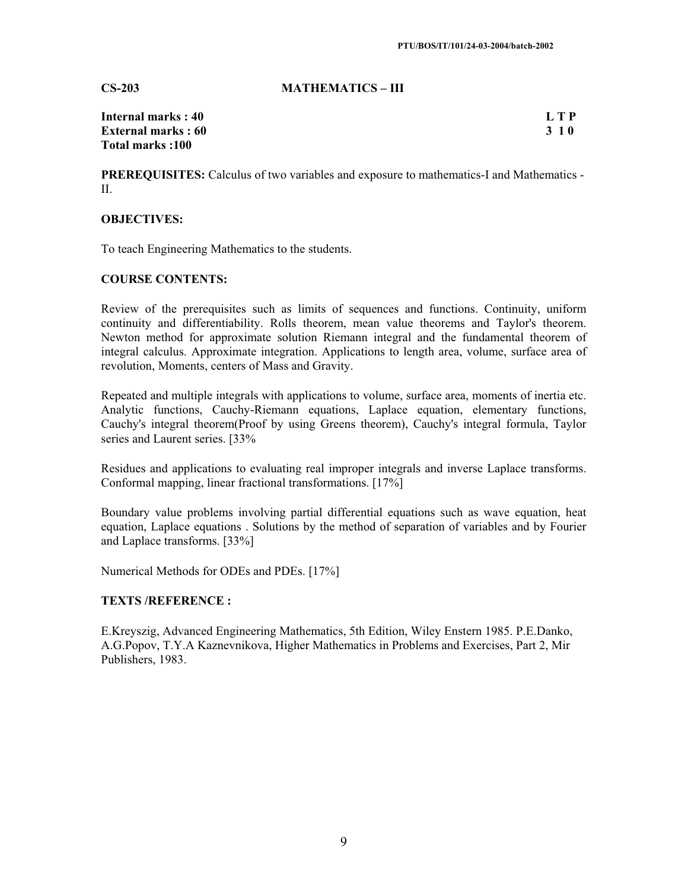#### **CS-203 MATHEMATICS – III**

| Internal marks : 40        | L T P |
|----------------------------|-------|
| <b>External marks : 60</b> | 3 1 0 |
| Total marks :100           |       |

**PREREQUISITES:** Calculus of two variables and exposure to mathematics-I and Mathematics - II.

## **OBJECTIVES:**

To teach Engineering Mathematics to the students.

#### **COURSE CONTENTS:**

Review of the prerequisites such as limits of sequences and functions. Continuity, uniform continuity and differentiability. Rolls theorem, mean value theorems and Taylor's theorem. Newton method for approximate solution Riemann integral and the fundamental theorem of integral calculus. Approximate integration. Applications to length area, volume, surface area of revolution, Moments, centers of Mass and Gravity.

Repeated and multiple integrals with applications to volume, surface area, moments of inertia etc. Analytic functions, Cauchy-Riemann equations, Laplace equation, elementary functions, Cauchy's integral theorem(Proof by using Greens theorem), Cauchy's integral formula, Taylor series and Laurent series. [33%

Residues and applications to evaluating real improper integrals and inverse Laplace transforms. Conformal mapping, linear fractional transformations. [17%]

Boundary value problems involving partial differential equations such as wave equation, heat equation, Laplace equations . Solutions by the method of separation of variables and by Fourier and Laplace transforms. [33%]

Numerical Methods for ODEs and PDEs. [17%]

## **TEXTS /REFERENCE :**

E.Kreyszig, Advanced Engineering Mathematics, 5th Edition, Wiley Enstern 1985. P.E.Danko, A.G.Popov, T.Y.A Kaznevnikova, Higher Mathematics in Problems and Exercises, Part 2, Mir Publishers, 1983.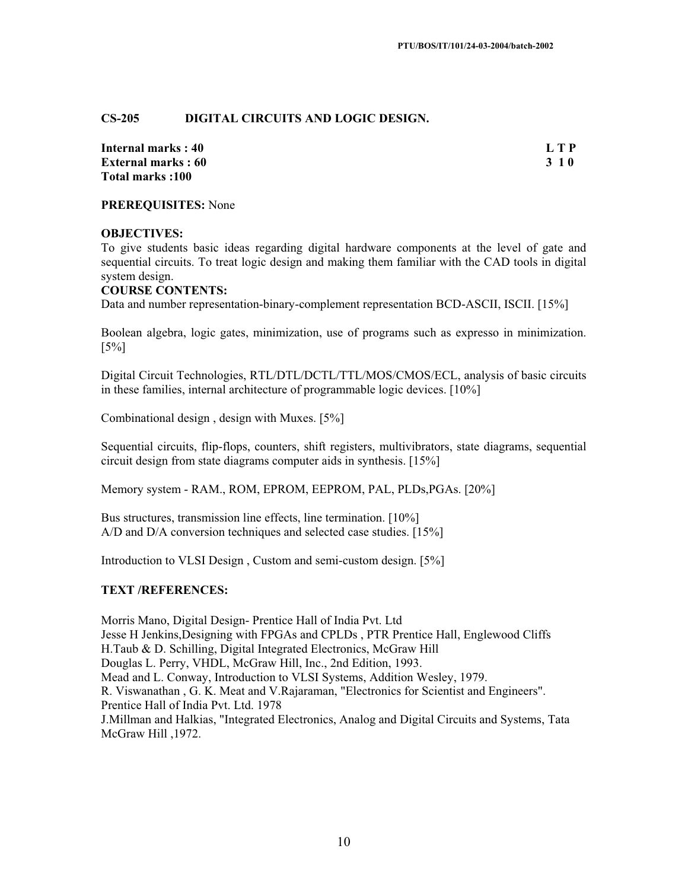## **CS-205 DIGITAL CIRCUITS AND LOGIC DESIGN.**

**Internal marks : 40 L T P External marks : 60 3 1 0 Total marks :100** 

**PREREQUISITES:** None

#### **OBJECTIVES:**

To give students basic ideas regarding digital hardware components at the level of gate and sequential circuits. To treat logic design and making them familiar with the CAD tools in digital system design.

#### **COURSE CONTENTS:**

Data and number representation-binary-complement representation BCD-ASCII, ISCII. [15%]

Boolean algebra, logic gates, minimization, use of programs such as expresso in minimization. [5%]

Digital Circuit Technologies, RTL/DTL/DCTL/TTL/MOS/CMOS/ECL, analysis of basic circuits in these families, internal architecture of programmable logic devices. [10%]

Combinational design , design with Muxes. [5%]

Sequential circuits, flip-flops, counters, shift registers, multivibrators, state diagrams, sequential circuit design from state diagrams computer aids in synthesis. [15%]

Memory system - RAM., ROM, EPROM, EEPROM, PAL, PLDs,PGAs. [20%]

Bus structures, transmission line effects, line termination. [10%] A/D and D/A conversion techniques and selected case studies. [15%]

Introduction to VLSI Design , Custom and semi-custom design. [5%]

#### **TEXT /REFERENCES:**

Morris Mano, Digital Design- Prentice Hall of India Pvt. Ltd Jesse H Jenkins,Designing with FPGAs and CPLDs , PTR Prentice Hall, Englewood Cliffs H.Taub & D. Schilling, Digital Integrated Electronics, McGraw Hill Douglas L. Perry, VHDL, McGraw Hill, Inc., 2nd Edition, 1993. Mead and L. Conway, Introduction to VLSI Systems, Addition Wesley, 1979. R. Viswanathan , G. K. Meat and V.Rajaraman, "Electronics for Scientist and Engineers". Prentice Hall of India Pvt. Ltd. 1978 J.Millman and Halkias, "Integrated Electronics, Analog and Digital Circuits and Systems, Tata McGraw Hill ,1972.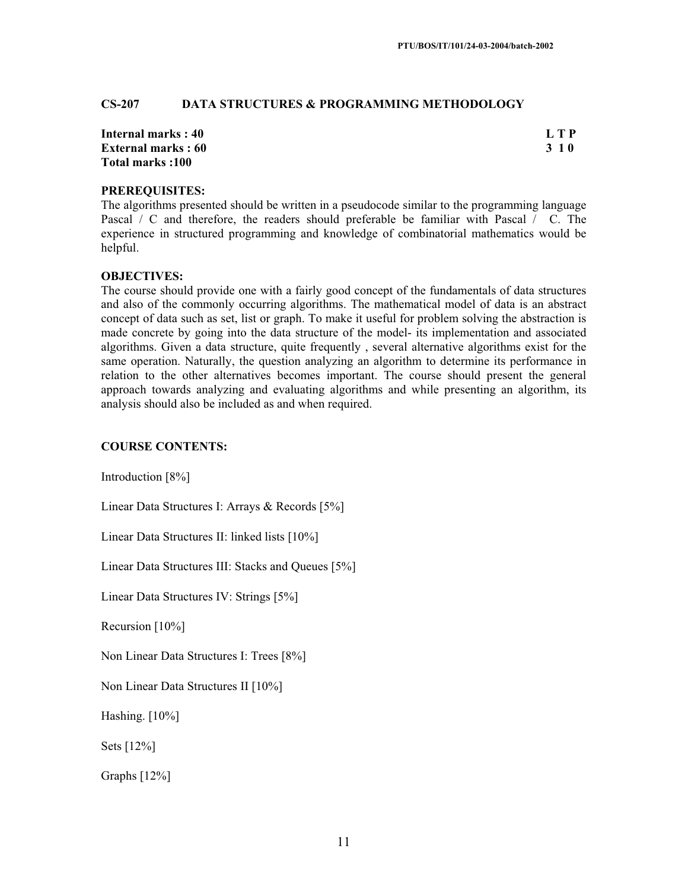## **CS-207 DATA STRUCTURES & PROGRAMMING METHODOLOGY**

| Internal marks: 40        | L T P |
|---------------------------|-------|
| <b>External marks: 60</b> | 3 1 0 |
| Total marks:100           |       |

#### **PREREQUISITES:**

The algorithms presented should be written in a pseudocode similar to the programming language Pascal / C and therefore, the readers should preferable be familiar with Pascal / C. The experience in structured programming and knowledge of combinatorial mathematics would be helpful.

#### **OBJECTIVES:**

The course should provide one with a fairly good concept of the fundamentals of data structures and also of the commonly occurring algorithms. The mathematical model of data is an abstract concept of data such as set, list or graph. To make it useful for problem solving the abstraction is made concrete by going into the data structure of the model- its implementation and associated algorithms. Given a data structure, quite frequently , several alternative algorithms exist for the same operation. Naturally, the question analyzing an algorithm to determine its performance in relation to the other alternatives becomes important. The course should present the general approach towards analyzing and evaluating algorithms and while presenting an algorithm, its analysis should also be included as and when required.

#### **COURSE CONTENTS:**

Introduction [8%]

Linear Data Structures I: Arrays & Records [5%]

Linear Data Structures II: linked lists [10%]

Linear Data Structures III: Stacks and Queues [5%]

Linear Data Structures IV: Strings [5%]

Recursion [10%]

Non Linear Data Structures I: Trees [8%]

Non Linear Data Structures II [10%]

Hashing. [10%]

Sets [12%]

Graphs [12%]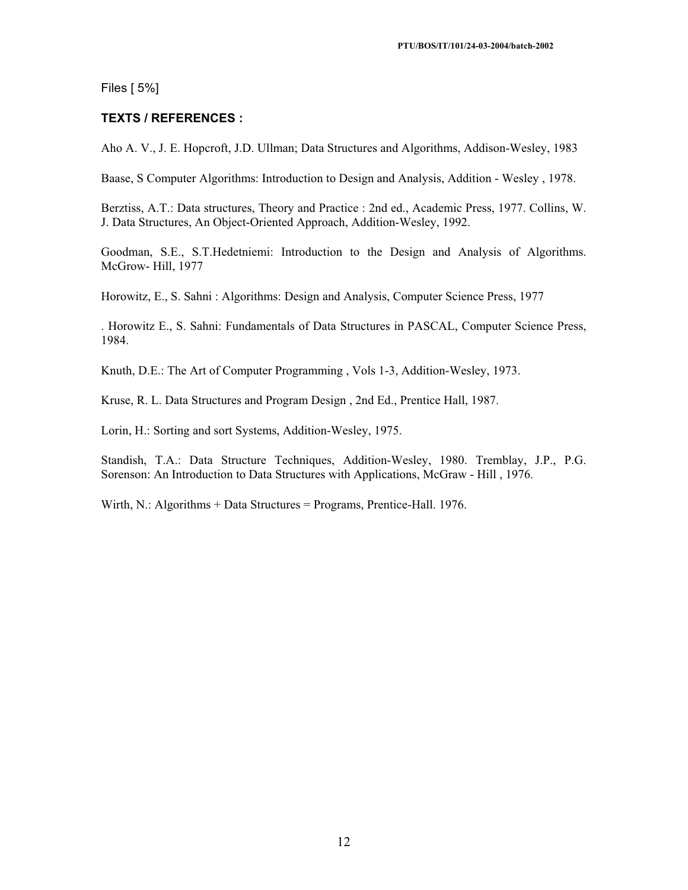Files [ 5%]

## **TEXTS / REFERENCES :**

Aho A. V., J. E. Hopcroft, J.D. Ullman; Data Structures and Algorithms, Addison-Wesley, 1983

Baase, S Computer Algorithms: Introduction to Design and Analysis, Addition - Wesley , 1978.

Berztiss, A.T.: Data structures, Theory and Practice : 2nd ed., Academic Press, 1977. Collins, W. J. Data Structures, An Object-Oriented Approach, Addition-Wesley, 1992.

Goodman, S.E., S.T.Hedetniemi: Introduction to the Design and Analysis of Algorithms. McGrow- Hill, 1977

Horowitz, E., S. Sahni : Algorithms: Design and Analysis, Computer Science Press, 1977

. Horowitz E., S. Sahni: Fundamentals of Data Structures in PASCAL, Computer Science Press, 1984.

Knuth, D.E.: The Art of Computer Programming , Vols 1-3, Addition-Wesley, 1973.

Kruse, R. L. Data Structures and Program Design , 2nd Ed., Prentice Hall, 1987.

Lorin, H.: Sorting and sort Systems, Addition-Wesley, 1975.

Standish, T.A.: Data Structure Techniques, Addition-Wesley, 1980. Tremblay, J.P., P.G. Sorenson: An Introduction to Data Structures with Applications, McGraw - Hill , 1976.

Wirth, N.: Algorithms + Data Structures = Programs, Prentice-Hall. 1976.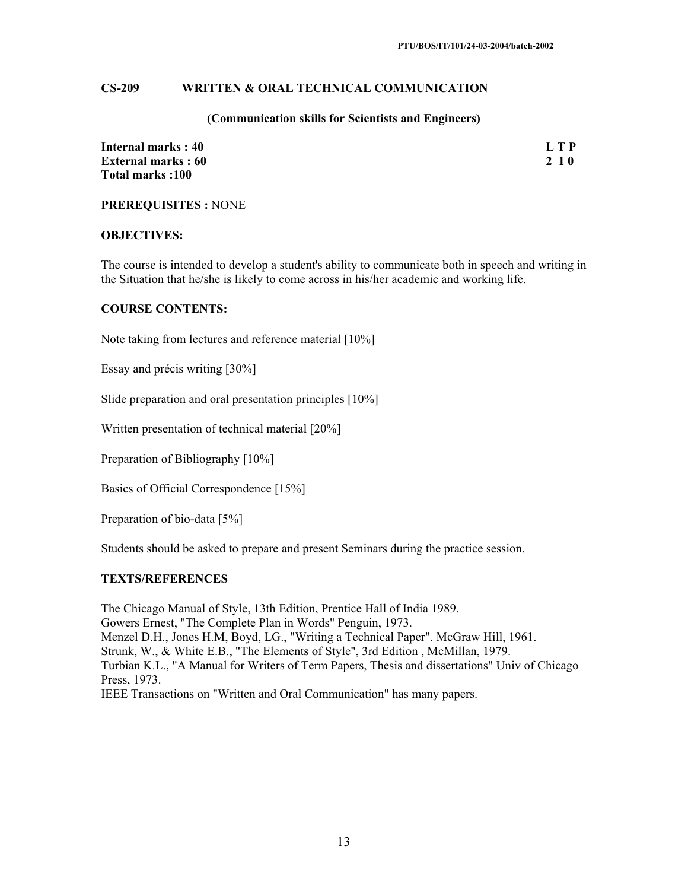#### **CS-209 WRITTEN & ORAL TECHNICAL COMMUNICATION**

#### **(Communication skills for Scientists and Engineers)**

| Internal marks: 40        | <b>LTP</b> |
|---------------------------|------------|
| <b>External marks: 60</b> | 2 1 0      |
| Total marks:100           |            |

**PREREQUISITES :** NONE

#### **OBJECTIVES:**

The course is intended to develop a student's ability to communicate both in speech and writing in the Situation that he/she is likely to come across in his/her academic and working life.

#### **COURSE CONTENTS:**

Note taking from lectures and reference material [10%]

Essay and précis writing [30%]

Slide preparation and oral presentation principles [10%]

Written presentation of technical material [20%]

Preparation of Bibliography [10%]

Basics of Official Correspondence [15%]

Preparation of bio-data [5%]

Students should be asked to prepare and present Seminars during the practice session.

#### **TEXTS/REFERENCES**

The Chicago Manual of Style, 13th Edition, Prentice Hall of India 1989. Gowers Ernest, "The Complete Plan in Words" Penguin, 1973. Menzel D.H., Jones H.M, Boyd, LG., "Writing a Technical Paper". McGraw Hill, 1961. Strunk, W., & White E.B., "The Elements of Style", 3rd Edition , McMillan, 1979. Turbian K.L., "A Manual for Writers of Term Papers, Thesis and dissertations" Univ of Chicago Press, 1973. IEEE Transactions on "Written and Oral Communication" has many papers.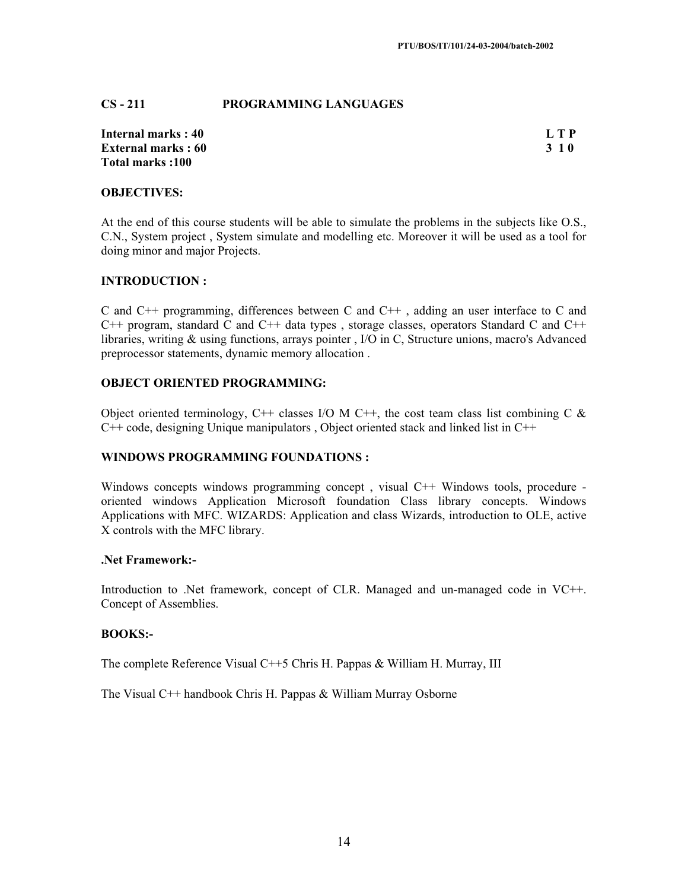## **CS - 211 PROGRAMMING LANGUAGES**

| Internal marks: 40        | <b>LTP</b> |
|---------------------------|------------|
| <b>External marks: 60</b> | 3 1 0      |
| Total marks:100           |            |

#### **OBJECTIVES:**

At the end of this course students will be able to simulate the problems in the subjects like O.S., C.N., System project , System simulate and modelling etc. Moreover it will be used as a tool for doing minor and major Projects.

## **INTRODUCTION :**

C and C++ programming, differences between C and C++ , adding an user interface to C and  $C_{++}$  program, standard C and  $C_{++}$  data types, storage classes, operators Standard C and  $C_{++}$ libraries, writing & using functions, arrays pointer , I/O in C, Structure unions, macro's Advanced preprocessor statements, dynamic memory allocation .

## **OBJECT ORIENTED PROGRAMMING:**

Object oriented terminology, C++ classes I/O M C++, the cost team class list combining C  $\&$  $C++$  code, designing Unique manipulators, Object oriented stack and linked list in  $C++$ 

## **WINDOWS PROGRAMMING FOUNDATIONS :**

Windows concepts windows programming concept, visual C++ Windows tools, procedure oriented windows Application Microsoft foundation Class library concepts. Windows Applications with MFC. WIZARDS: Application and class Wizards, introduction to OLE, active X controls with the MFC library.

## **.Net Framework:-**

Introduction to .Net framework, concept of CLR. Managed and un-managed code in VC++. Concept of Assemblies.

#### **BOOKS:-**

The complete Reference Visual C++5 Chris H. Pappas & William H. Murray, III

The Visual C++ handbook Chris H. Pappas & William Murray Osborne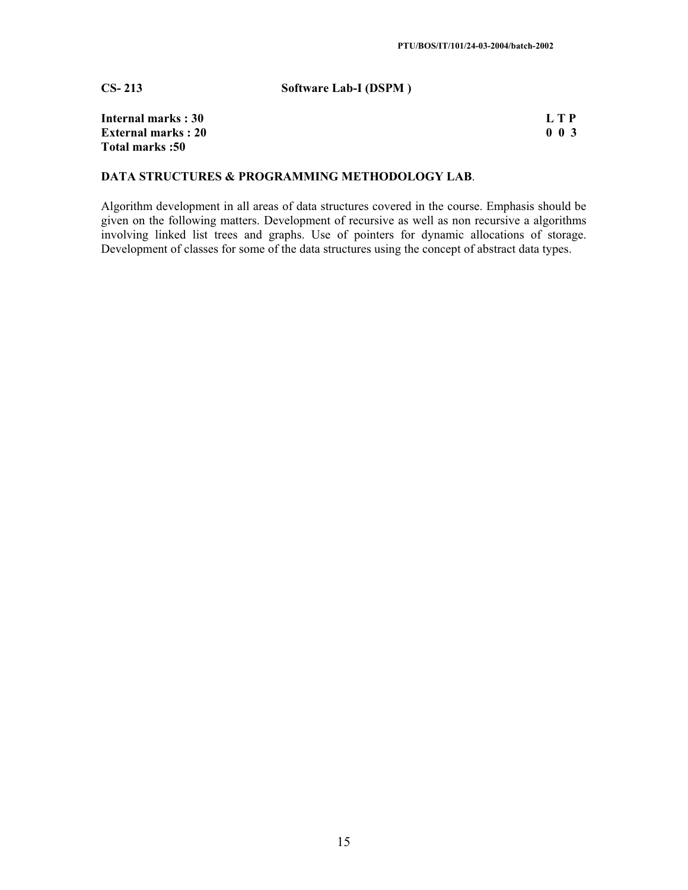**CS- 213 Software Lab-I (DSPM )**

| Internal marks: 30        |  |
|---------------------------|--|
| <b>External marks: 20</b> |  |
| <b>Total marks:50</b>     |  |

| Internal marks : 30        | L T P       |
|----------------------------|-------------|
| <b>External marks : 20</b> | $0 \t0 \t3$ |

## **DATA STRUCTURES & PROGRAMMING METHODOLOGY LAB**.

Algorithm development in all areas of data structures covered in the course. Emphasis should be given on the following matters. Development of recursive as well as non recursive a algorithms involving linked list trees and graphs. Use of pointers for dynamic allocations of storage. Development of classes for some of the data structures using the concept of abstract data types.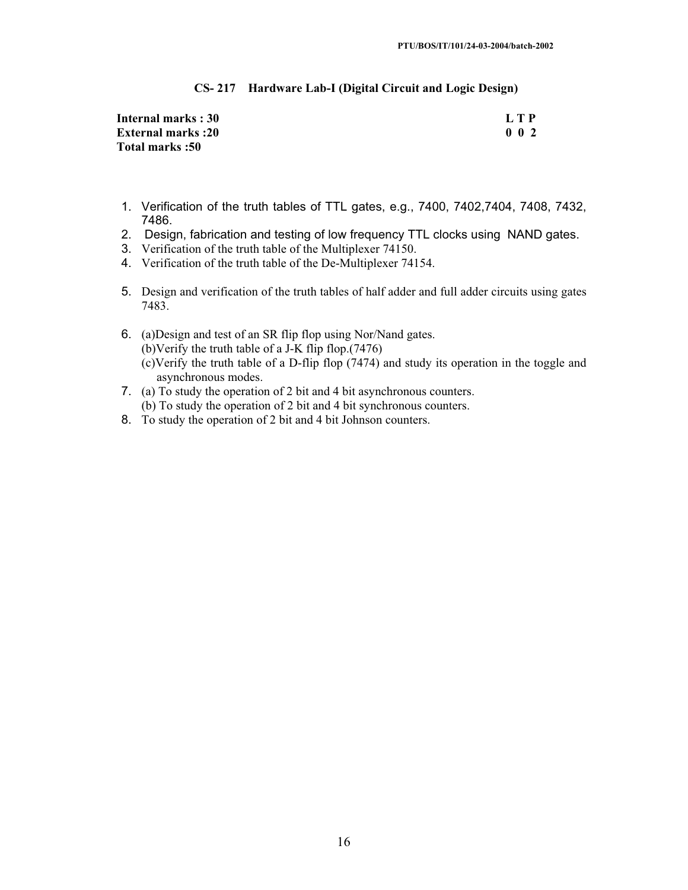#### **CS- 217 Hardware Lab-I (Digital Circuit and Logic Design)**

| Internal marks: 30       | LTP       |
|--------------------------|-----------|
| <b>External marks:20</b> | $0\,0\,2$ |
| Total marks: 50          |           |

- 1. Verification of the truth tables of TTL gates, e.g., 7400, 7402,7404, 7408, 7432, 7486.
- 2. Design, fabrication and testing of low frequency TTL clocks using NAND gates.
- 3. Verification of the truth table of the Multiplexer 74150.
- 4. Verification of the truth table of the De-Multiplexer 74154.
- 5. Design and verification of the truth tables of half adder and full adder circuits using gates 7483.
- 6. (a)Design and test of an SR flip flop using Nor/Nand gates. (b)Verify the truth table of a J-K flip flop.(7476) (c)Verify the truth table of a D-flip flop (7474) and study its operation in the toggle and asynchronous modes.
- 7. (a) To study the operation of 2 bit and 4 bit asynchronous counters. (b) To study the operation of 2 bit and 4 bit synchronous counters.
- 8. To study the operation of 2 bit and 4 bit Johnson counters.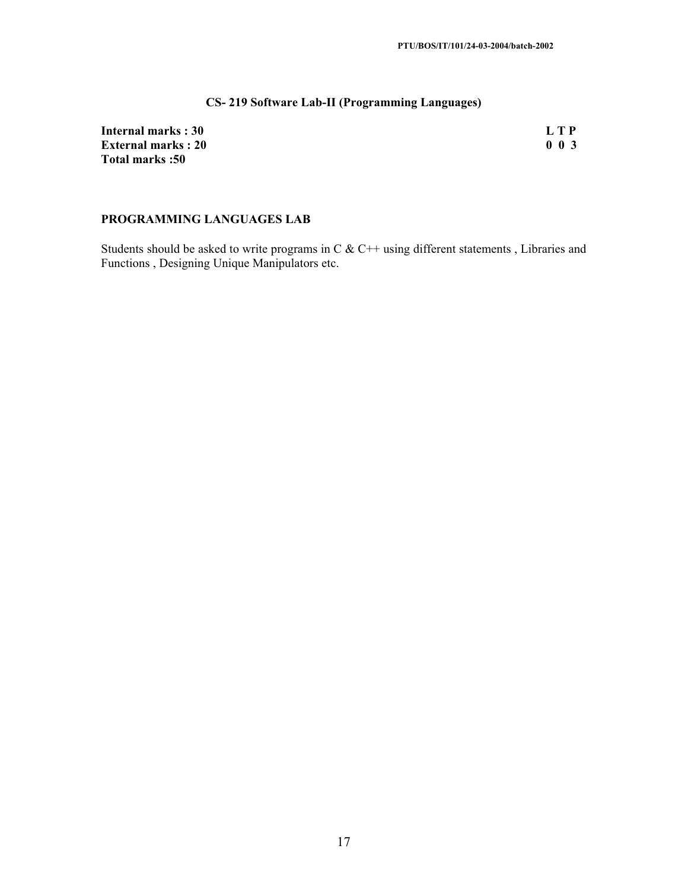## **CS- 219 Software Lab-II (Programming Languages)**

| Internal marks: 30        | L T P     |
|---------------------------|-----------|
| <b>External marks: 20</b> | $0\,0\,3$ |
| <b>Total marks:50</b>     |           |

## **PROGRAMMING LANGUAGES LAB**

Students should be asked to write programs in C & C++ using different statements , Libraries and Functions , Designing Unique Manipulators etc.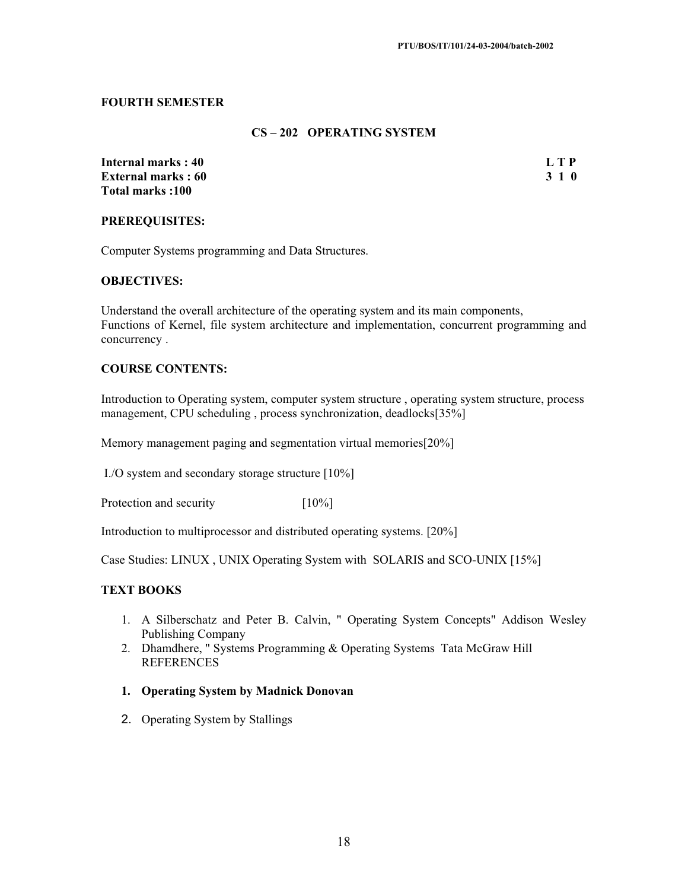## **FOURTH SEMESTER**

## **CS – 202 OPERATING SYSTEM**

**Internal marks : 40 L T P 2018 10 L T P 2018 10 L T P 2018 10 L T P 2018 10 L T P 2018 10 L T P 2018 10 2018 10 External marks · 60 Total marks :100** 

#### **PREREQUISITES:**

Computer Systems programming and Data Structures.

## **OBJECTIVES:**

Understand the overall architecture of the operating system and its main components, Functions of Kernel, file system architecture and implementation, concurrent programming and concurrency .

## **COURSE CONTENTS:**

Introduction to Operating system, computer system structure , operating system structure, process management, CPU scheduling , process synchronization, deadlocks[35%]

Memory management paging and segmentation virtual memories[20%]

I./O system and secondary storage structure [10%]

Protection and security [10%]

Introduction to multiprocessor and distributed operating systems. [20%]

Case Studies: LINUX , UNIX Operating System with SOLARIS and SCO-UNIX [15%]

## **TEXT BOOKS**

- 1. A Silberschatz and Peter B. Calvin, " Operating System Concepts" Addison Wesley Publishing Company
- 2. Dhamdhere, " Systems Programming & Operating Systems Tata McGraw Hill **REFERENCES**
- **1. Operating System by Madnick Donovan**
- 2. Operating System by Stallings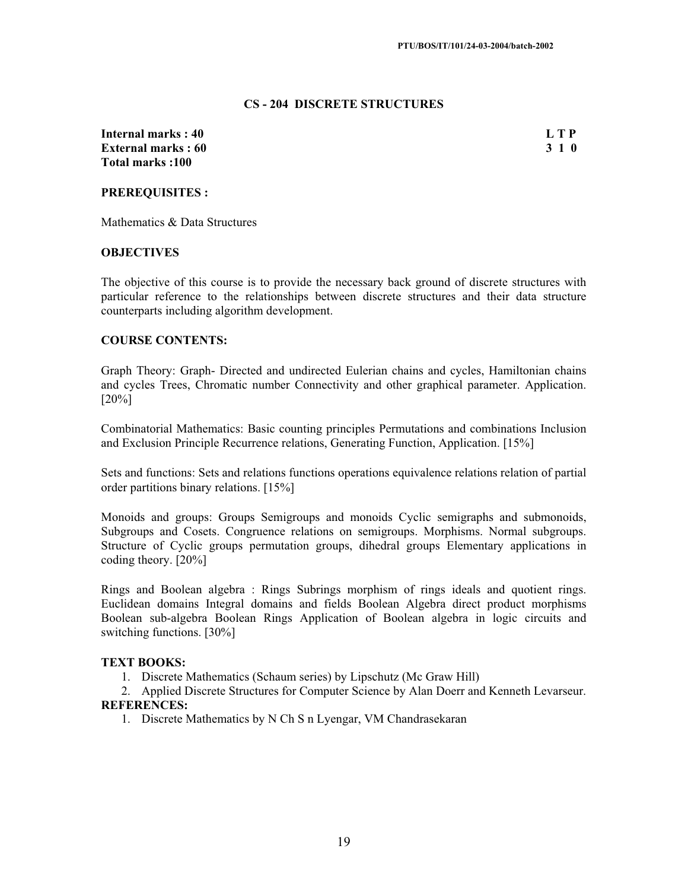#### **CS - 204 DISCRETE STRUCTURES**

**Internal marks : 40** L T P **External marks : 60 3 1 0 Total marks :100** 

## **PREREQUISITES :**

Mathematics & Data Structures

#### **OBJECTIVES**

The objective of this course is to provide the necessary back ground of discrete structures with particular reference to the relationships between discrete structures and their data structure counterparts including algorithm development.

## **COURSE CONTENTS:**

Graph Theory: Graph- Directed and undirected Eulerian chains and cycles, Hamiltonian chains and cycles Trees, Chromatic number Connectivity and other graphical parameter. Application. [20%]

Combinatorial Mathematics: Basic counting principles Permutations and combinations Inclusion and Exclusion Principle Recurrence relations, Generating Function, Application. [15%]

Sets and functions: Sets and relations functions operations equivalence relations relation of partial order partitions binary relations. [15%]

Monoids and groups: Groups Semigroups and monoids Cyclic semigraphs and submonoids, Subgroups and Cosets. Congruence relations on semigroups. Morphisms. Normal subgroups. Structure of Cyclic groups permutation groups, dihedral groups Elementary applications in coding theory. [20%]

Rings and Boolean algebra : Rings Subrings morphism of rings ideals and quotient rings. Euclidean domains Integral domains and fields Boolean Algebra direct product morphisms Boolean sub-algebra Boolean Rings Application of Boolean algebra in logic circuits and switching functions. [30%]

#### **TEXT BOOKS:**

1. Discrete Mathematics (Schaum series) by Lipschutz (Mc Graw Hill)

2. Applied Discrete Structures for Computer Science by Alan Doerr and Kenneth Levarseur. **REFERENCES:**

1. Discrete Mathematics by N Ch S n Lyengar, VM Chandrasekaran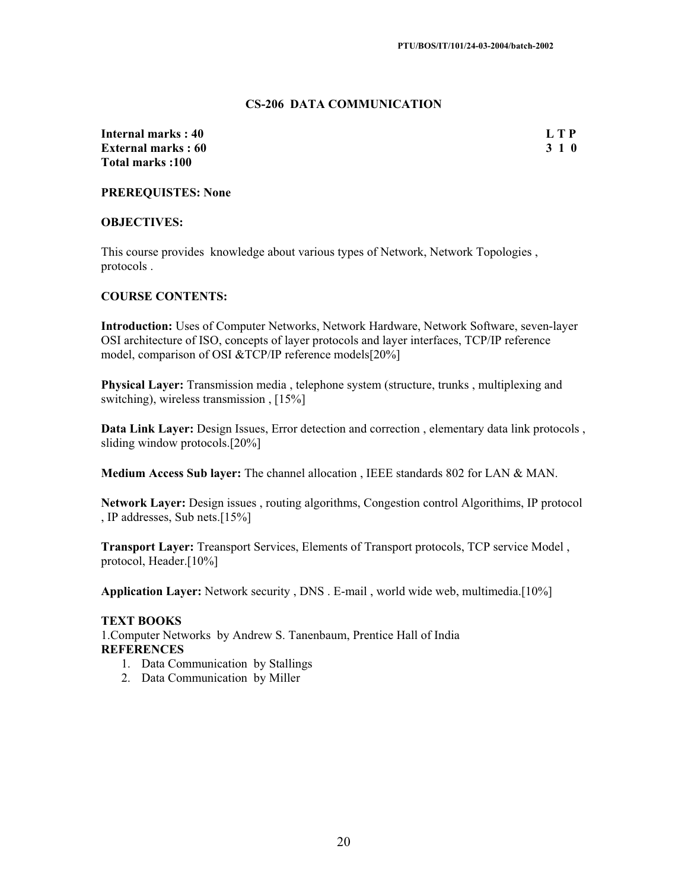#### **CS-206 DATA COMMUNICATION**

**Internal marks : 40** L T P **External marks : 60 3 1 0 Total marks :100** 

**PREREQUISTES: None** 

## **OBJECTIVES:**

This course provides knowledge about various types of Network, Network Topologies , protocols .

#### **COURSE CONTENTS:**

**Introduction:** Uses of Computer Networks, Network Hardware, Network Software, seven-layer OSI architecture of ISO, concepts of layer protocols and layer interfaces, TCP/IP reference model, comparison of OSI &TCP/IP reference models[20%]

**Physical Layer:** Transmission media , telephone system (structure, trunks , multiplexing and switching), wireless transmission , [15%]

**Data Link Layer:** Design Issues, Error detection and correction , elementary data link protocols , sliding window protocols.[20%]

**Medium Access Sub layer:** The channel allocation , IEEE standards 802 for LAN & MAN.

**Network Layer:** Design issues , routing algorithms, Congestion control Algorithims, IP protocol , IP addresses, Sub nets.[15%]

**Transport Layer:** Treansport Services, Elements of Transport protocols, TCP service Model , protocol, Header.[10%]

**Application Layer:** Network security , DNS . E-mail , world wide web, multimedia.[10%]

#### **TEXT BOOKS**

1.Computer Networks by Andrew S. Tanenbaum, Prentice Hall of India **REFERENCES**

- 1. Data Communication by Stallings
- 2. Data Communication by Miller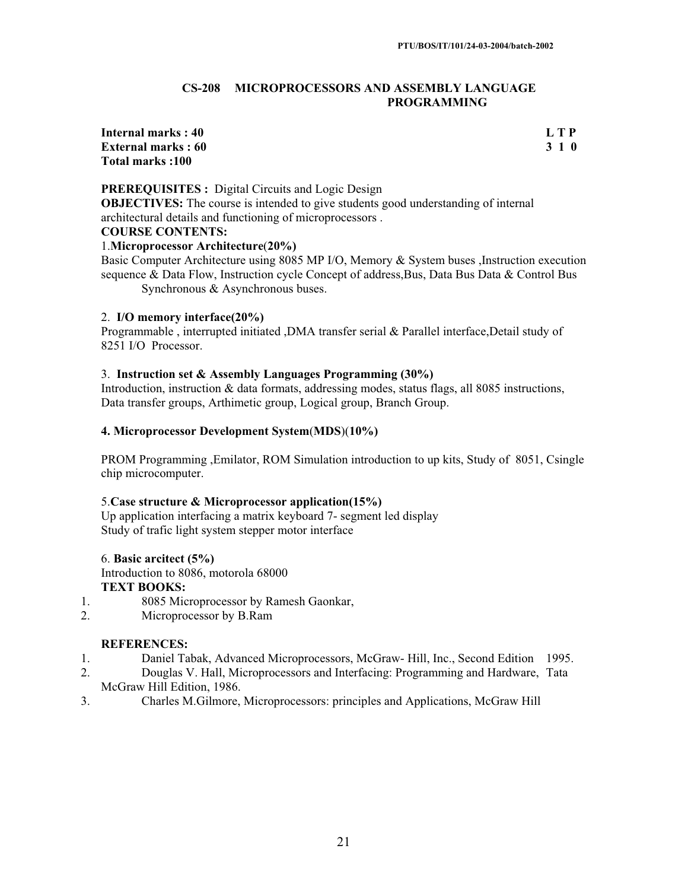#### **CS-208 MICROPROCESSORS AND ASSEMBLY LANGUAGE PROGRAMMING**

## **Internal marks : 40 L T P External marks : 60 3 1 0 Total marks :100**

## **PREREQUISITES :** Digital Circuits and Logic Design

**OBJECTIVES:** The course is intended to give students good understanding of internal architectural details and functioning of microprocessors .

#### **COURSE CONTENTS:**

#### 1.**Microprocessor Architecture**(**20%)**

Basic Computer Architecture using 8085 MP I/O, Memory & System buses ,Instruction execution sequence & Data Flow, Instruction cycle Concept of address, Bus, Data Bus Data & Control Bus Synchronous & Asynchronous buses.

#### 2. **I/O memory interface(20%)**

Programmable , interrupted initiated ,DMA transfer serial & Parallel interface,Detail study of 8251 I/O Processor.

#### 3. **Instruction set & Assembly Languages Programming (30%)**

Introduction, instruction & data formats, addressing modes, status flags, all 8085 instructions, Data transfer groups, Arthimetic group, Logical group, Branch Group.

#### **4. Microprocessor Development System**(**MDS**)(**10%)**

PROM Programming ,Emilator, ROM Simulation introduction to up kits, Study of 8051, Csingle chip microcomputer.

#### 5.**Case structure & Microprocessor application(15%)**

Up application interfacing a matrix keyboard 7- segment led display Study of trafic light system stepper motor interface

#### 6. **Basic arcitect (5%)**

Introduction to 8086, motorola 68000 **TEXT BOOKS:** 

- 1. 8085 Microprocessor by Ramesh Gaonkar,
- 2. Microprocessor by B.Ram

- 1. Daniel Tabak, Advanced Microprocessors, McGraw- Hill, Inc., Second Edition 1995.
- 2. Douglas V. Hall, Microprocessors and Interfacing: Programming and Hardware, Tata McGraw Hill Edition, 1986.
- 3. Charles M.Gilmore, Microprocessors: principles and Applications, McGraw Hill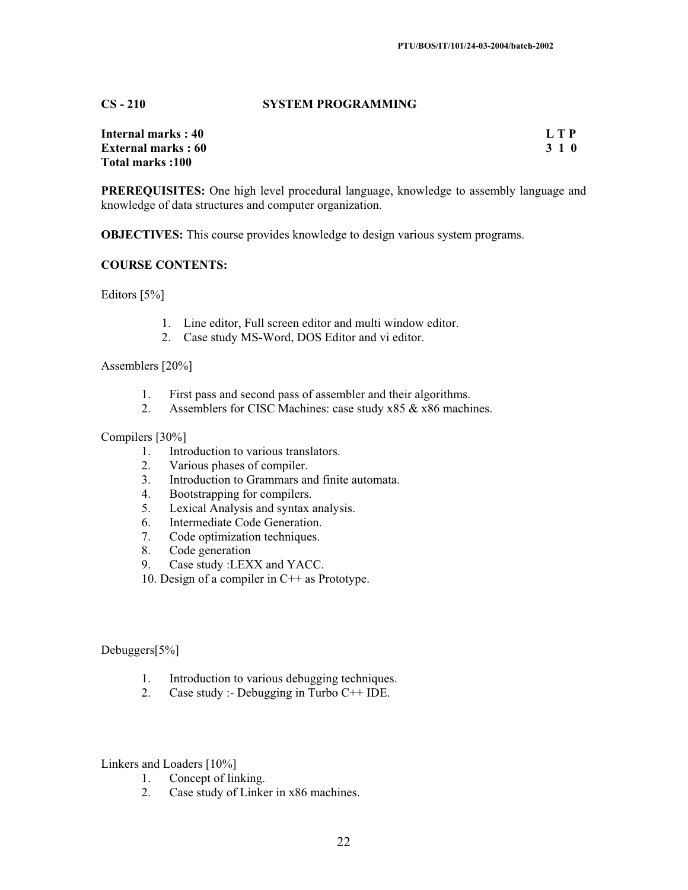## **CS - 210 SYSTEM PROGRAMMING**

| <b>Internal marks: 40</b> | <b>LTP</b> |
|---------------------------|------------|
| <b>External marks: 60</b> | 3 1 0      |
| Total marks:100           |            |

**PREREQUISITES:** One high level procedural language, knowledge to assembly language and knowledge of data structures and computer organization.

**OBJECTIVES:** This course provides knowledge to design various system programs.

#### **COURSE CONTENTS:**

Editors [5%]

- 1. Line editor, Full screen editor and multi window editor.
- 2. Case study MS-Word, DOS Editor and vi editor.

Assemblers [20%]

- 1. First pass and second pass of assembler and their algorithms.<br>2. Assemblers for CISC Machines: case study  $x85 \& x86$  machines
- Assemblers for CISC Machines: case study x85 & x86 machines.

#### Compilers [30%]

- 1. Introduction to various translators.<br>2. Various phases of compiler.
- Various phases of compiler.
- 3. Introduction to Grammars and finite automata.
- 4. Bootstrapping for compilers.
- 5. Lexical Analysis and syntax analysis.
- 6. Intermediate Code Generation.
- 7. Code optimization techniques.
- 8. Code generation
- 9. Case study :LEXX and YACC.
- 10. Design of a compiler in C++ as Prototype.

## Debuggers[5%]

- 1. Introduction to various debugging techniques.
- 2. Case study :- Debugging in Turbo C++ IDE.

Linkers and Loaders [10%]

- 1. Concept of linking.
- 2. Case study of Linker in x86 machines.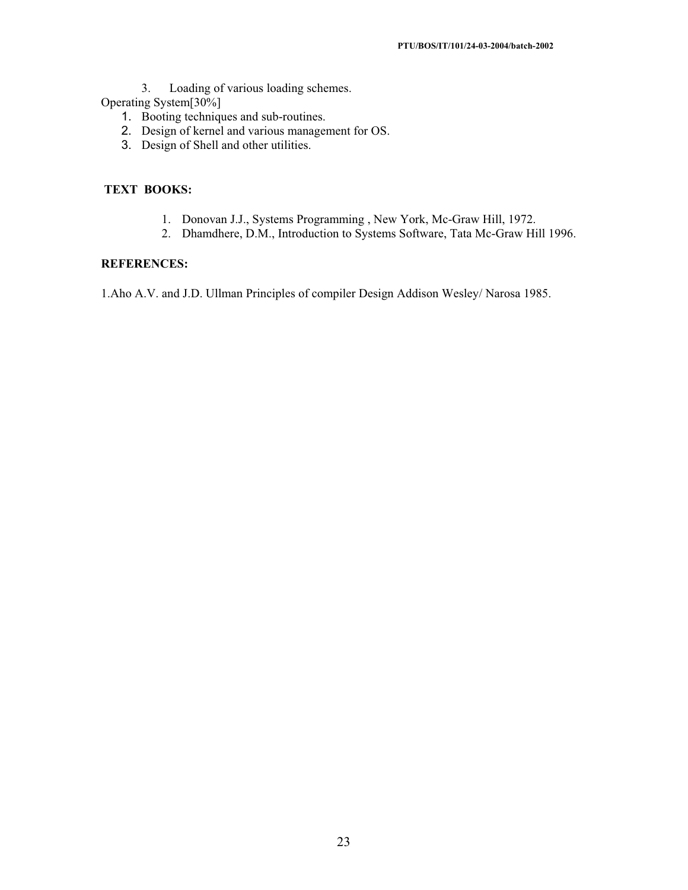3. Loading of various loading schemes.

Operating System[30%]

- 1. Booting techniques and sub-routines.
- 2. Design of kernel and various management for OS.
- 3. Design of Shell and other utilities.

## **TEXT BOOKS:**

- 1. Donovan J.J., Systems Programming , New York, Mc-Graw Hill, 1972.
- 2. Dhamdhere, D.M., Introduction to Systems Software, Tata Mc-Graw Hill 1996.

#### **REFERENCES:**

1.Aho A.V. and J.D. Ullman Principles of compiler Design Addison Wesley/ Narosa 1985.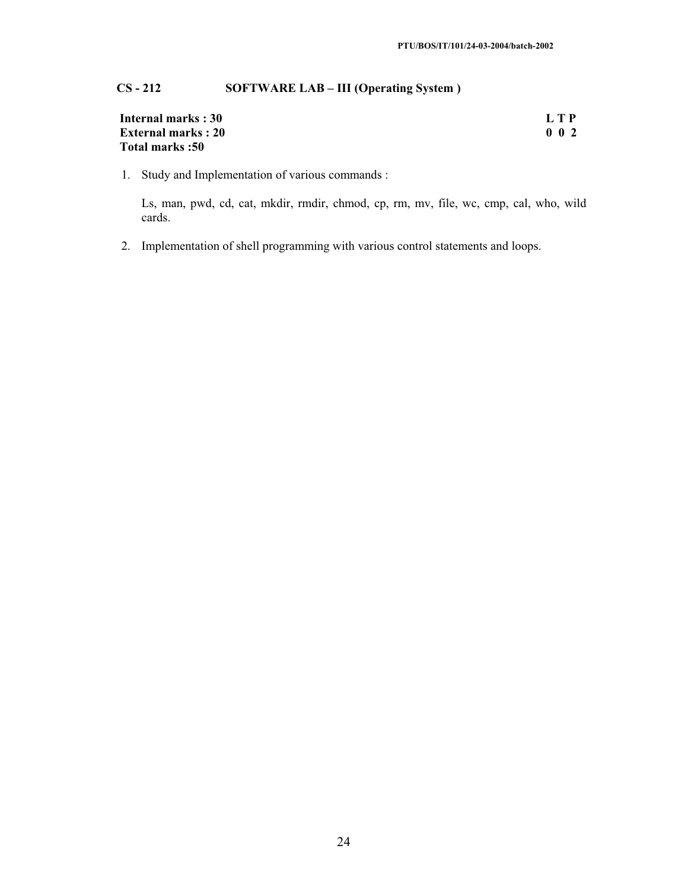## **CS - 212 SOFTWARE LAB – III (Operating System )**

| <b>Internal marks: 30</b> | LTP             |
|---------------------------|-----------------|
| <b>External marks: 20</b> | $0\quad0\quad2$ |
| <b>Total marks:50</b>     |                 |

1. Study and Implementation of various commands :

Ls, man, pwd, cd, cat, mkdir, rmdir, chmod, cp, rm, mv, file, wc, cmp, cal, who, wild cards.

2. Implementation of shell programming with various control statements and loops.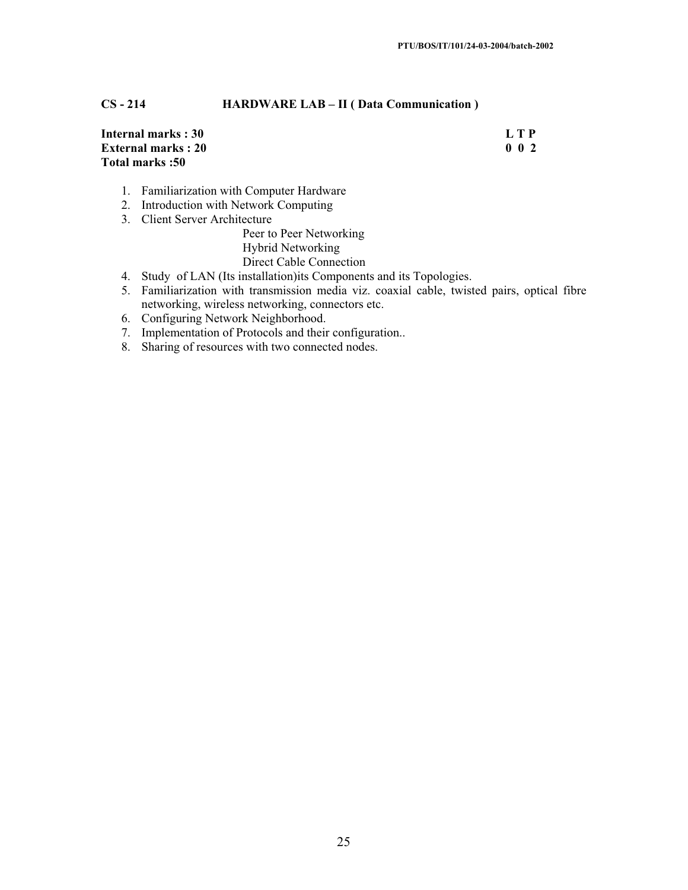## **CS - 214 HARDWARE LAB – II ( Data Communication )**

| Internal marks: 30        | L T P           |
|---------------------------|-----------------|
| <b>External marks: 20</b> | $0\quad0\quad2$ |
| Total marks :50           |                 |

- 1. Familiarization with Computer Hardware
- 2. Introduction with Network Computing
- 3. Client Server Architecture

Peer to Peer Networking Hybrid Networking Direct Cable Connection

- 4. Study of LAN (Its installation)its Components and its Topologies.
- 5. Familiarization with transmission media viz. coaxial cable, twisted pairs, optical fibre networking, wireless networking, connectors etc.
- 6. Configuring Network Neighborhood.
- 7. Implementation of Protocols and their configuration..
- 8. Sharing of resources with two connected nodes.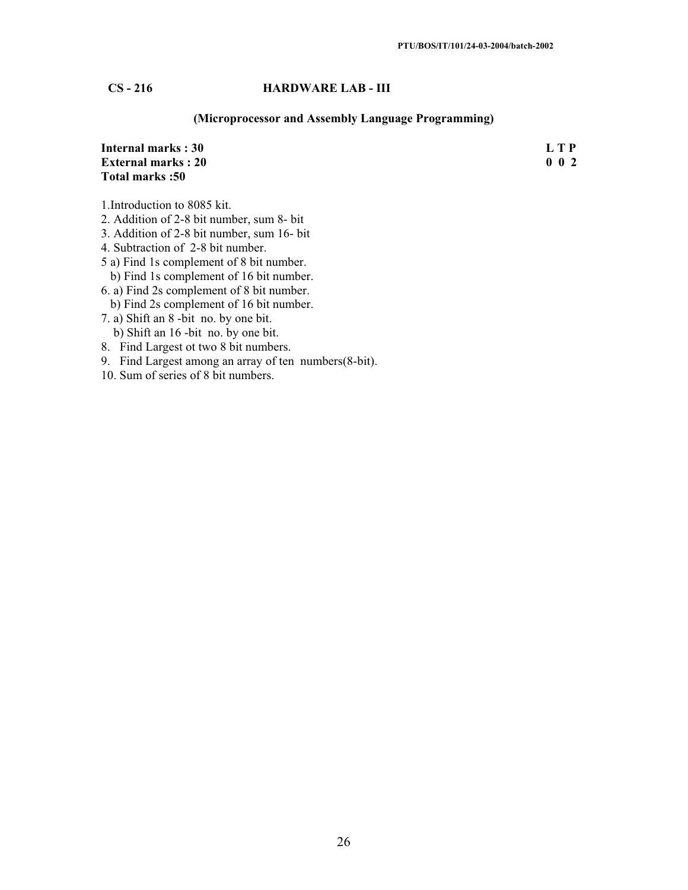## **CS - 216 HARDWARE LAB - III**

## **(Microprocessor and Assembly Language Programming)**

| <b>Internal marks: 30</b><br><b>External marks: 20</b><br>Total marks: 50 | L T P       |
|---------------------------------------------------------------------------|-------------|
|                                                                           | $0\;\;0\;2$ |
|                                                                           |             |
| 1. Introduction to 8085 kit.                                              |             |
| 2. Addition of 2-8 bit number, sum 8- bit                                 |             |
| 3. Addition of 2-8 bit number, sum 16- bit                                |             |
| 4. Subtraction of 2-8 bit number.                                         |             |
| 5 a) Find 1s complement of 8 bit number.                                  |             |
| b) Find 1s complement of 16 bit number.                                   |             |
| 6. a) Find 2s complement of 8 bit number.                                 |             |

- b) Find 2s complement of 16 bit number.
- 7. a) Shift an 8 -bit no. by one bit. b) Shift an 16 -bit no. by one bit.
- 8. Find Largest ot two 8 bit numbers.
- 9. Find Largest among an array of ten numbers(8-bit).
- 10. Sum of series of 8 bit numbers.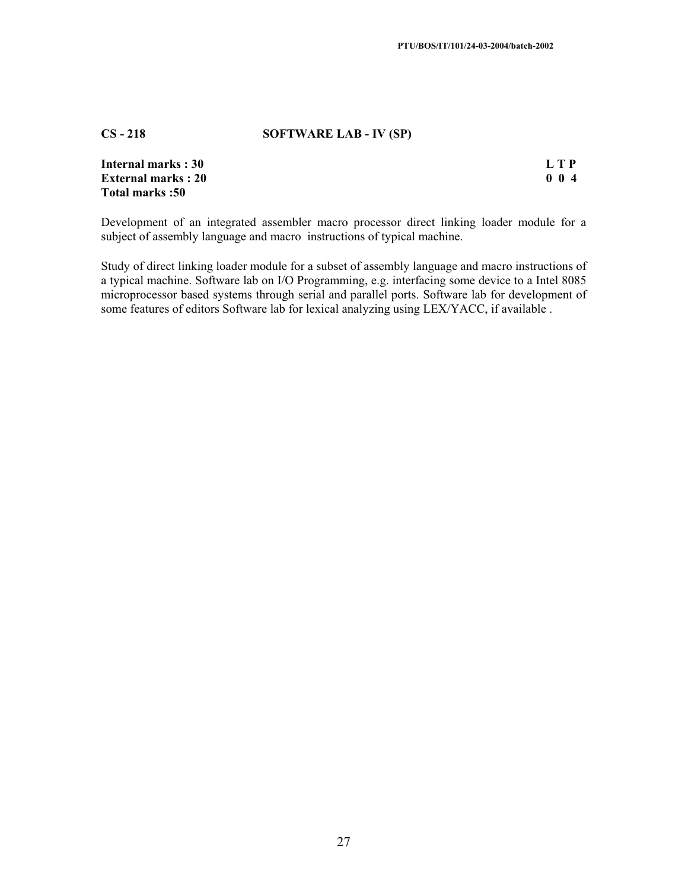#### **CS - 218 SOFTWARE LAB - IV (SP)**

| Internal marks : 30       | L T P |
|---------------------------|-------|
| <b>External marks: 20</b> | 004   |
| Total marks :50           |       |

Development of an integrated assembler macro processor direct linking loader module for a subject of assembly language and macro instructions of typical machine.

Study of direct linking loader module for a subset of assembly language and macro instructions of a typical machine. Software lab on I/O Programming, e.g. interfacing some device to a Intel 8085 microprocessor based systems through serial and parallel ports. Software lab for development of some features of editors Software lab for lexical analyzing using LEX/YACC, if available .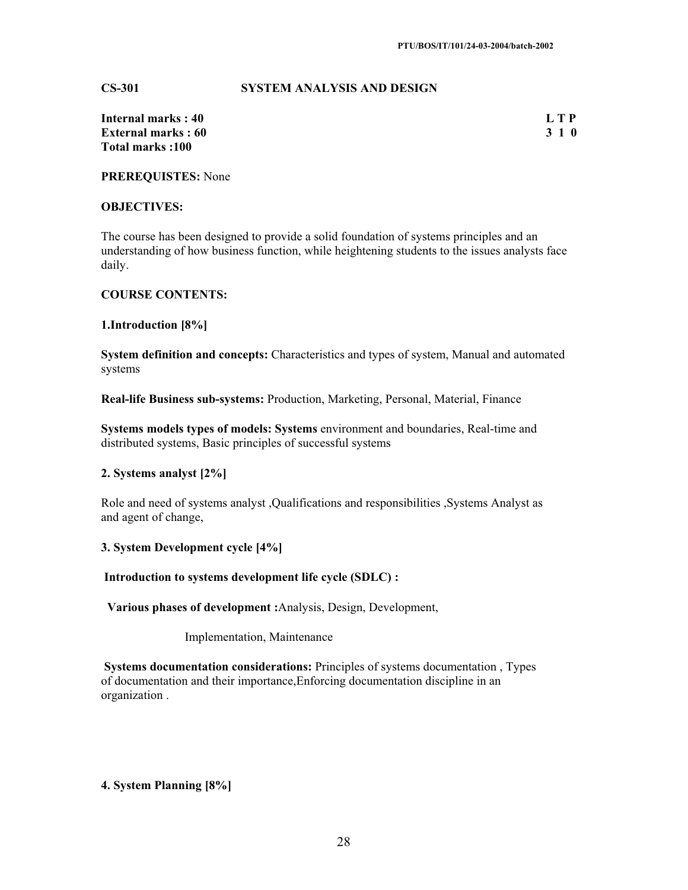#### **CS-301 SYSTEM ANALYSIS AND DESIGN**

| Internal marks : 40        | L T P |
|----------------------------|-------|
| <b>External marks : 60</b> | 3 1 0 |
| Total marks :100           |       |

**PREREQUISTES:** None

## **OBJECTIVES:**

The course has been designed to provide a solid foundation of systems principles and an understanding of how business function, while heightening students to the issues analysts face daily.

#### **COURSE CONTENTS:**

**1.Introduction [8%]**

**System definition and concepts:** Characteristics and types of system, Manual and automated systems

**Real-life Business sub-systems:** Production, Marketing, Personal, Material, Finance

**Systems models types of models: Systems** environment and boundaries, Real-time and distributed systems, Basic principles of successful systems

#### **2. Systems analyst [2%]**

Role and need of systems analyst ,Qualifications and responsibilities ,Systems Analyst as and agent of change,

**3. System Development cycle [4%]** 

 **Introduction to systems development life cycle (SDLC) :** 

 **Various phases of development :**Analysis, Design, Development,

Implementation, Maintenance

 **Systems documentation considerations:** Principles of systems documentation , Types of documentation and their importance,Enforcing documentation discipline in an organization .

## **4. System Planning [8%]**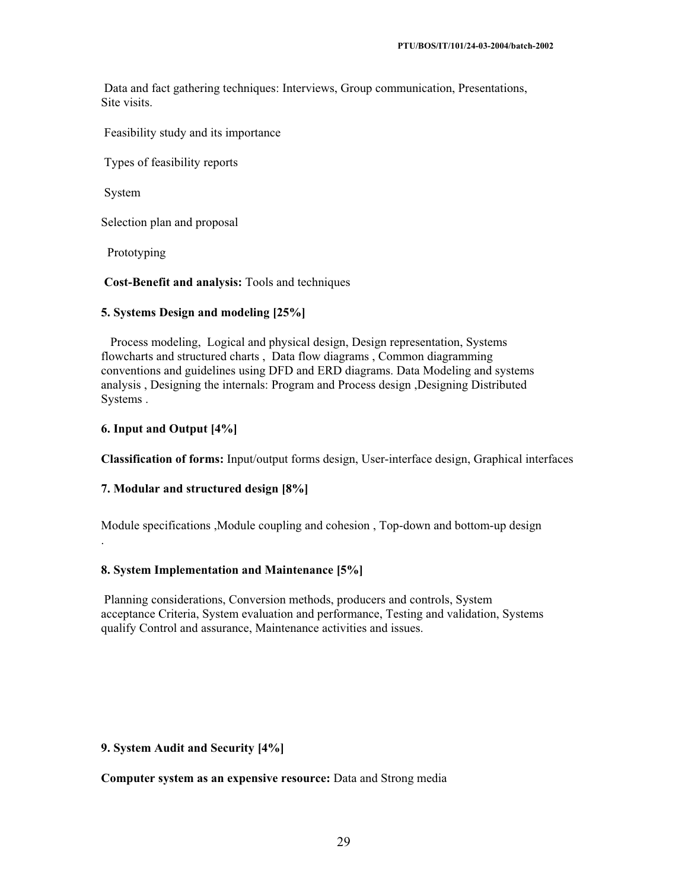Data and fact gathering techniques: Interviews, Group communication, Presentations, Site visits.

Feasibility study and its importance

Types of feasibility reports

System

.

Selection plan and proposal

Prototyping

**Cost-Benefit and analysis:** Tools and techniques

## **5. Systems Design and modeling [25%]**

 Process modeling, Logical and physical design, Design representation, Systems flowcharts and structured charts , Data flow diagrams , Common diagramming conventions and guidelines using DFD and ERD diagrams. Data Modeling and systems analysis , Designing the internals: Program and Process design ,Designing Distributed Systems .

## **6. Input and Output [4%]**

**Classification of forms:** Input/output forms design, User-interface design, Graphical interfaces

## **7. Modular and structured design [8%]**

Module specifications ,Module coupling and cohesion , Top-down and bottom-up design

## **8. System Implementation and Maintenance [5%]**

 Planning considerations, Conversion methods, producers and controls, System acceptance Criteria, System evaluation and performance, Testing and validation, Systems qualify Control and assurance, Maintenance activities and issues.

#### **9. System Audit and Security [4%]**

**Computer system as an expensive resource:** Data and Strong media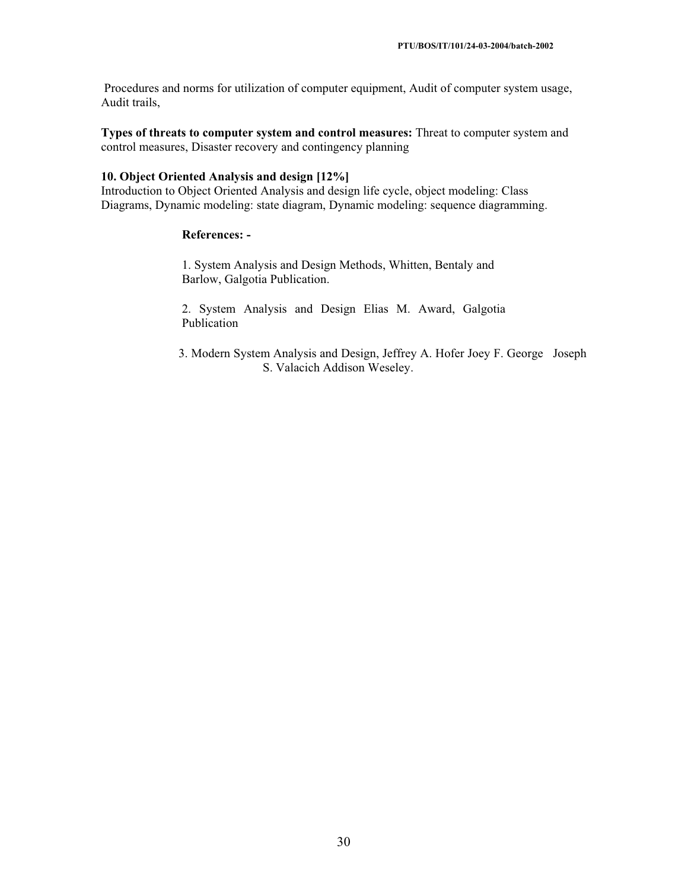Procedures and norms for utilization of computer equipment, Audit of computer system usage, Audit trails,

**Types of threats to computer system and control measures:** Threat to computer system and control measures, Disaster recovery and contingency planning

#### **10. Object Oriented Analysis and design [12%]**

Introduction to Object Oriented Analysis and design life cycle, object modeling: Class Diagrams, Dynamic modeling: state diagram, Dynamic modeling: sequence diagramming.

#### **References: -**

1. System Analysis and Design Methods, Whitten, Bentaly and Barlow, Galgotia Publication.

2. System Analysis and Design Elias M. Award, Galgotia Publication

 3. Modern System Analysis and Design, Jeffrey A. Hofer Joey F. George Joseph S. Valacich Addison Weseley.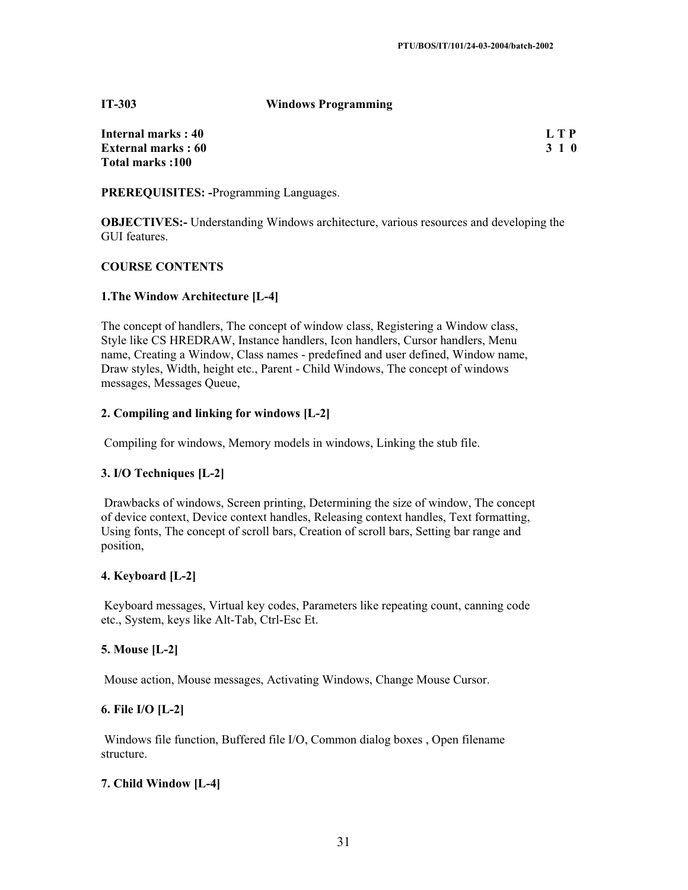#### **IT-303 Windows Programming**

**Internal marks : 40** L T P **External marks : 60 3 1 0 Total marks :100** 

**PREREQUISITES: -**Programming Languages.

**OBJECTIVES:**- Understanding Windows architecture, various resources and developing the GUI features.

## **COURSE CONTENTS**

## **1.The Window Architecture [L-4]**

The concept of handlers, The concept of window class, Registering a Window class, Style like CS HREDRAW, Instance handlers, Icon handlers, Cursor handlers, Menu name, Creating a Window, Class names - predefined and user defined, Window name, Draw styles, Width, height etc., Parent - Child Windows, The concept of windows messages, Messages Queue,

## **2. Compiling and linking for windows [L-2]**

Compiling for windows, Memory models in windows, Linking the stub file.

## **3. I/O Techniques [L-2]**

 Drawbacks of windows, Screen printing, Determining the size of window, The concept of device context, Device context handles, Releasing context handles, Text formatting, Using fonts, The concept of scroll bars, Creation of scroll bars, Setting bar range and position,

#### **4. Keyboard [L-2]**

 Keyboard messages, Virtual key codes, Parameters like repeating count, canning code etc., System, keys like Alt-Tab, Ctrl-Esc Et.

#### **5. Mouse [L-2]**

Mouse action, Mouse messages, Activating Windows, Change Mouse Cursor.

#### **6. File I/O [L-2]**

 Windows file function, Buffered file I/O, Common dialog boxes , Open filename structure.

## **7. Child Window [L-4]**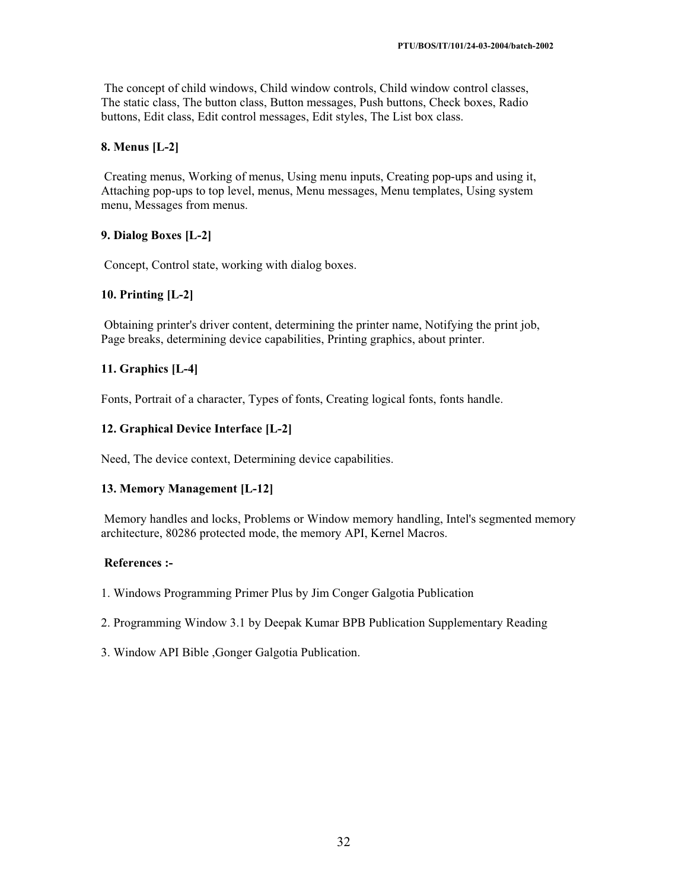The concept of child windows, Child window controls, Child window control classes, The static class, The button class, Button messages, Push buttons, Check boxes, Radio buttons, Edit class, Edit control messages, Edit styles, The List box class.

## **8. Menus [L-2]**

 Creating menus, Working of menus, Using menu inputs, Creating pop-ups and using it, Attaching pop-ups to top level, menus, Menu messages, Menu templates, Using system menu, Messages from menus.

## **9. Dialog Boxes [L-2]**

Concept, Control state, working with dialog boxes.

## **10. Printing [L-2]**

 Obtaining printer's driver content, determining the printer name, Notifying the print job, Page breaks, determining device capabilities, Printing graphics, about printer.

## **11. Graphics [L-4]**

Fonts, Portrait of a character, Types of fonts, Creating logical fonts, fonts handle.

## **12. Graphical Device Interface [L-2]**

Need, The device context, Determining device capabilities.

## **13. Memory Management [L-12]**

 Memory handles and locks, Problems or Window memory handling, Intel's segmented memory architecture, 80286 protected mode, the memory API, Kernel Macros.

## **References :-**

1. Windows Programming Primer Plus by Jim Conger Galgotia Publication

2. Programming Window 3.1 by Deepak Kumar BPB Publication Supplementary Reading

3. Window API Bible ,Gonger Galgotia Publication.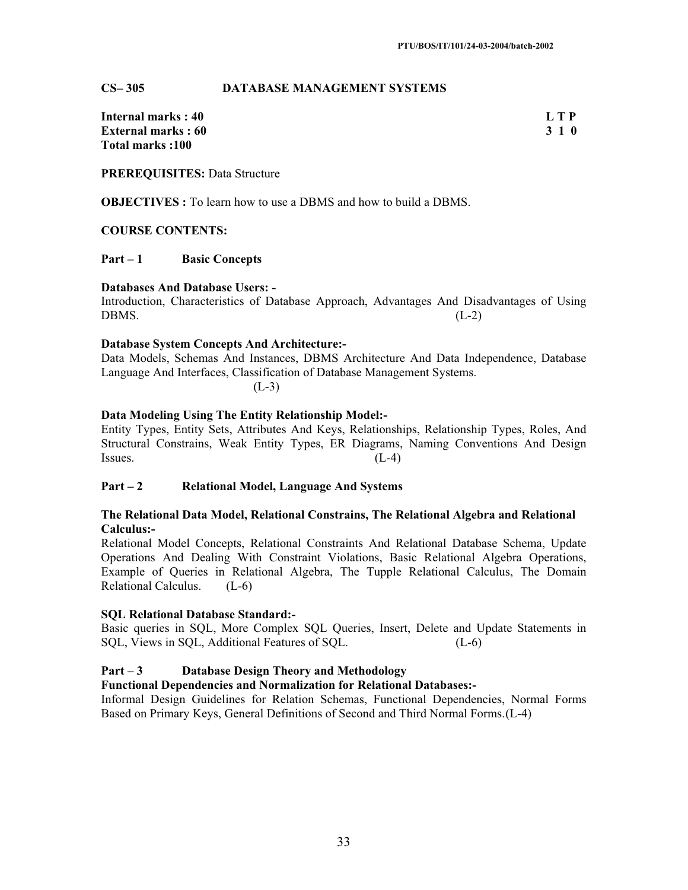#### **CS– 305 DATABASE MANAGEMENT SYSTEMS**

**Internal marks : 40** L T P **External marks : 60 3 1 0 Total marks :100** 

**PREREQUISITES:** Data Structure

**OBJECTIVES :** To learn how to use a DBMS and how to build a DBMS.

#### **COURSE CONTENTS:**

## **Part – 1 Basic Concepts**

#### **Databases And Database Users: -**

Introduction, Characteristics of Database Approach, Advantages And Disadvantages of Using  $DBMS.$  (L-2)

#### **Database System Concepts And Architecture:-**

Data Models, Schemas And Instances, DBMS Architecture And Data Independence, Database Language And Interfaces, Classification of Database Management Systems.

 $(L-3)$ 

## **Data Modeling Using The Entity Relationship Model:-**

Entity Types, Entity Sets, Attributes And Keys, Relationships, Relationship Types, Roles, And Structural Constrains, Weak Entity Types, ER Diagrams, Naming Conventions And Design Issues.  $(L-4)$ 

#### **Part – 2 Relational Model, Language And Systems**

#### **The Relational Data Model, Relational Constrains, The Relational Algebra and Relational Calculus:-**

Relational Model Concepts, Relational Constraints And Relational Database Schema, Update Operations And Dealing With Constraint Violations, Basic Relational Algebra Operations, Example of Queries in Relational Algebra, The Tupple Relational Calculus, The Domain Relational Calculus. (L-6)

#### **SQL Relational Database Standard:-**

Basic queries in SQL, More Complex SQL Queries, Insert, Delete and Update Statements in SQL, Views in SQL, Additional Features of SQL. (L-6)

#### **Part – 3 Database Design Theory and Methodology**

#### **Functional Dependencies and Normalization for Relational Databases:-**

Informal Design Guidelines for Relation Schemas, Functional Dependencies, Normal Forms Based on Primary Keys, General Definitions of Second and Third Normal Forms.(L-4)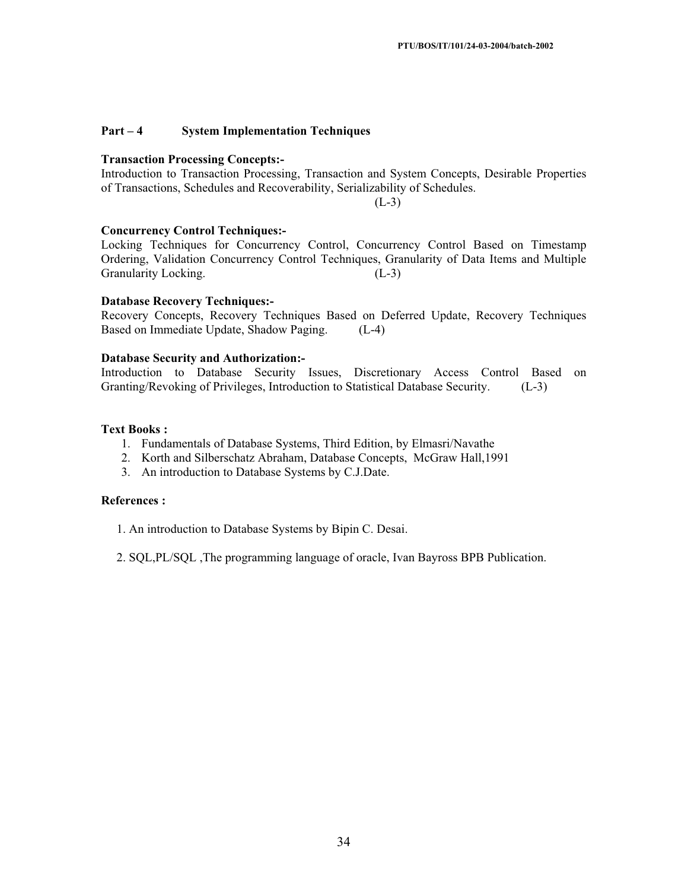## **Part – 4 System Implementation Techniques**

#### **Transaction Processing Concepts:-**

Introduction to Transaction Processing, Transaction and System Concepts, Desirable Properties of Transactions, Schedules and Recoverability, Serializability of Schedules.

 $(L-3)$ 

## **Concurrency Control Techniques:-**

Locking Techniques for Concurrency Control, Concurrency Control Based on Timestamp Ordering, Validation Concurrency Control Techniques, Granularity of Data Items and Multiple Granularity Locking. (L-3)

#### **Database Recovery Techniques:-**

Recovery Concepts, Recovery Techniques Based on Deferred Update, Recovery Techniques Based on Immediate Update, Shadow Paging. (L-4)

## **Database Security and Authorization:-**

Introduction to Database Security Issues, Discretionary Access Control Based on Granting/Revoking of Privileges, Introduction to Statistical Database Security. (L-3)

## **Text Books :**

- 1. Fundamentals of Database Systems, Third Edition, by Elmasri/Navathe
- 2. Korth and Silberschatz Abraham, Database Concepts, McGraw Hall,1991
- 3. An introduction to Database Systems by C.J.Date.

## **References :**

- 1. An introduction to Database Systems by Bipin C. Desai.
- 2. SQL,PL/SQL ,The programming language of oracle, Ivan Bayross BPB Publication.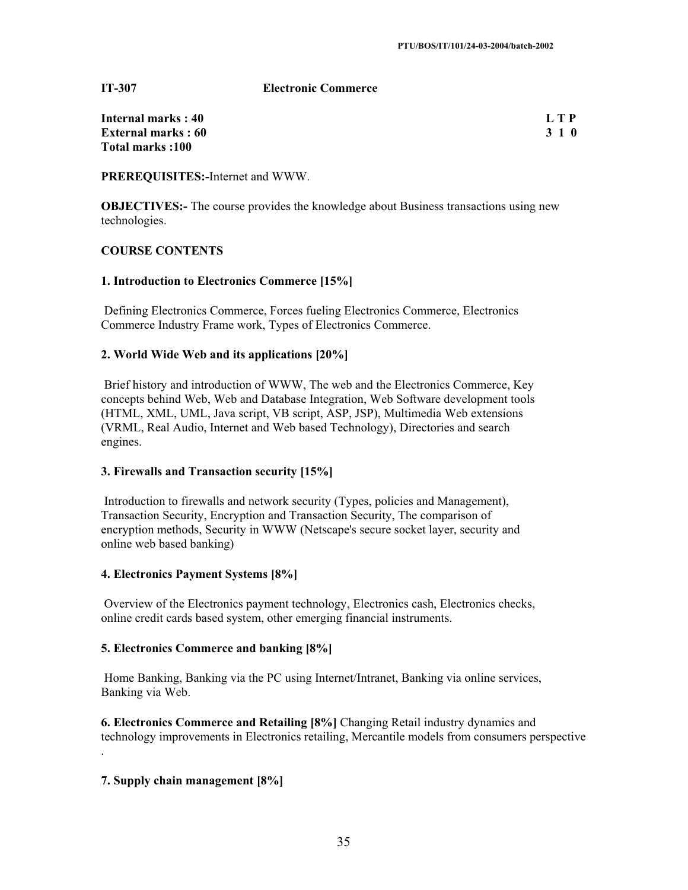**IT-307 Electronic Commerce**

| Internal marks: 40        | L T P |
|---------------------------|-------|
| <b>External marks: 60</b> | 3 1 0 |
| Total marks :100          |       |

**PREREQUISITES:-**Internet and WWW.

**OBJECTIVES:**- The course provides the knowledge about Business transactions using new technologies.

## **COURSE CONTENTS**

## **1. Introduction to Electronics Commerce [15%]**

 Defining Electronics Commerce, Forces fueling Electronics Commerce, Electronics Commerce Industry Frame work, Types of Electronics Commerce.

## **2. World Wide Web and its applications [20%]**

 Brief history and introduction of WWW, The web and the Electronics Commerce, Key concepts behind Web, Web and Database Integration, Web Software development tools (HTML, XML, UML, Java script, VB script, ASP, JSP), Multimedia Web extensions (VRML, Real Audio, Internet and Web based Technology), Directories and search engines.

## **3. Firewalls and Transaction security [15%]**

 Introduction to firewalls and network security (Types, policies and Management), Transaction Security, Encryption and Transaction Security, The comparison of encryption methods, Security in WWW (Netscape's secure socket layer, security and online web based banking)

## **4. Electronics Payment Systems [8%]**

 Overview of the Electronics payment technology, Electronics cash, Electronics checks, online credit cards based system, other emerging financial instruments.

## **5. Electronics Commerce and banking [8%]**

 Home Banking, Banking via the PC using Internet/Intranet, Banking via online services, Banking via Web.

**6. Electronics Commerce and Retailing [8%]** Changing Retail industry dynamics and technology improvements in Electronics retailing, Mercantile models from consumers perspective .

## **7. Supply chain management [8%]**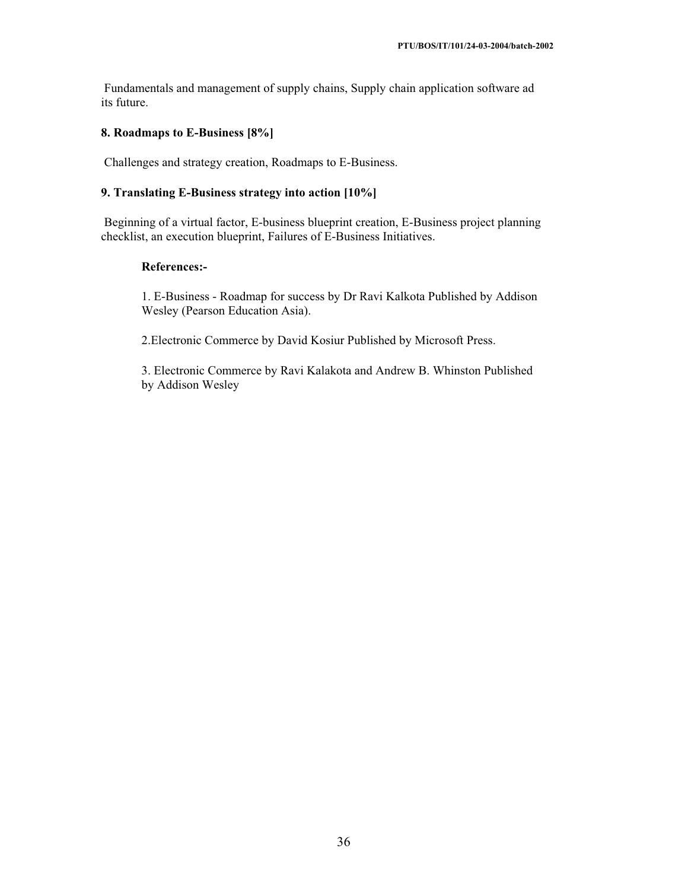Fundamentals and management of supply chains, Supply chain application software ad its future.

## **8. Roadmaps to E-Business [8%]**

Challenges and strategy creation, Roadmaps to E-Business.

## **9. Translating E-Business strategy into action [10%]**

 Beginning of a virtual factor, E-business blueprint creation, E-Business project planning checklist, an execution blueprint, Failures of E-Business Initiatives.

## **References:-**

1. E-Business - Roadmap for success by Dr Ravi Kalkota Published by Addison Wesley (Pearson Education Asia).

2.Electronic Commerce by David Kosiur Published by Microsoft Press.

3. Electronic Commerce by Ravi Kalakota and Andrew B. Whinston Published by Addison Wesley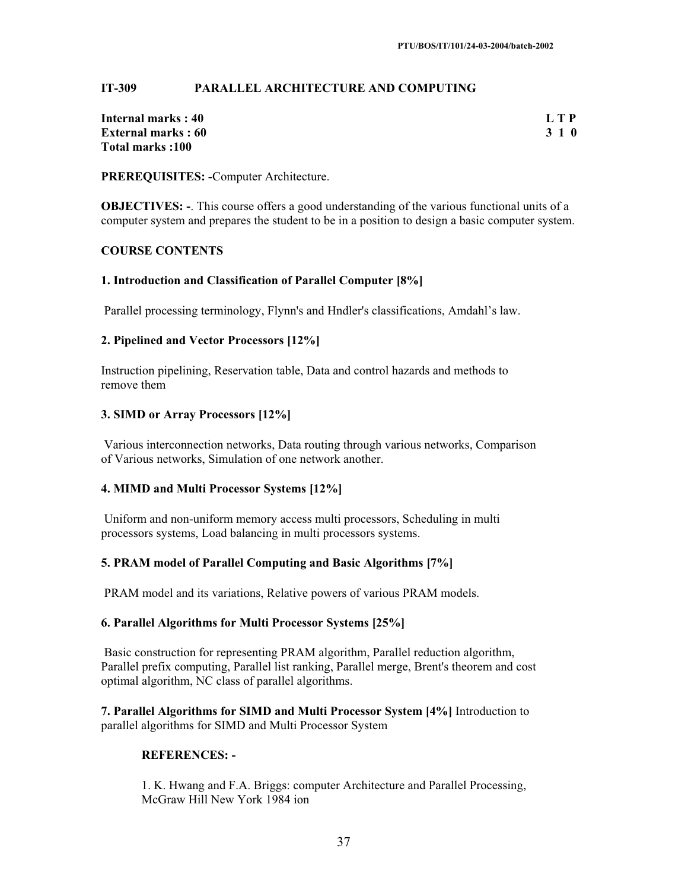## **IT-309 PARALLEL ARCHITECTURE AND COMPUTING**

| Internal marks: 40        | L T P |
|---------------------------|-------|
| <b>External marks: 60</b> | 3 1 0 |
| Total marks :100          |       |

**PREREQUISITES: -**Computer Architecture.

**OBJECTIVES:** -. This course offers a good understanding of the various functional units of a computer system and prepares the student to be in a position to design a basic computer system.

## **COURSE CONTENTS**

## **1. Introduction and Classification of Parallel Computer [8%]**

Parallel processing terminology, Flynn's and Hndler's classifications, Amdahl's law.

## **2. Pipelined and Vector Processors [12%]**

Instruction pipelining, Reservation table, Data and control hazards and methods to remove them

## **3. SIMD or Array Processors [12%]**

 Various interconnection networks, Data routing through various networks, Comparison of Various networks, Simulation of one network another.

#### **4. MIMD and Multi Processor Systems [12%]**

 Uniform and non-uniform memory access multi processors, Scheduling in multi processors systems, Load balancing in multi processors systems.

#### **5. PRAM model of Parallel Computing and Basic Algorithms [7%]**

PRAM model and its variations, Relative powers of various PRAM models.

#### **6. Parallel Algorithms for Multi Processor Systems [25%]**

 Basic construction for representing PRAM algorithm, Parallel reduction algorithm, Parallel prefix computing, Parallel list ranking, Parallel merge, Brent's theorem and cost optimal algorithm, NC class of parallel algorithms.

**7. Parallel Algorithms for SIMD and Multi Processor System [4%]** Introduction to parallel algorithms for SIMD and Multi Processor System

#### **REFERENCES: -**

1. K. Hwang and F.A. Briggs: computer Architecture and Parallel Processing, McGraw Hill New York 1984 ion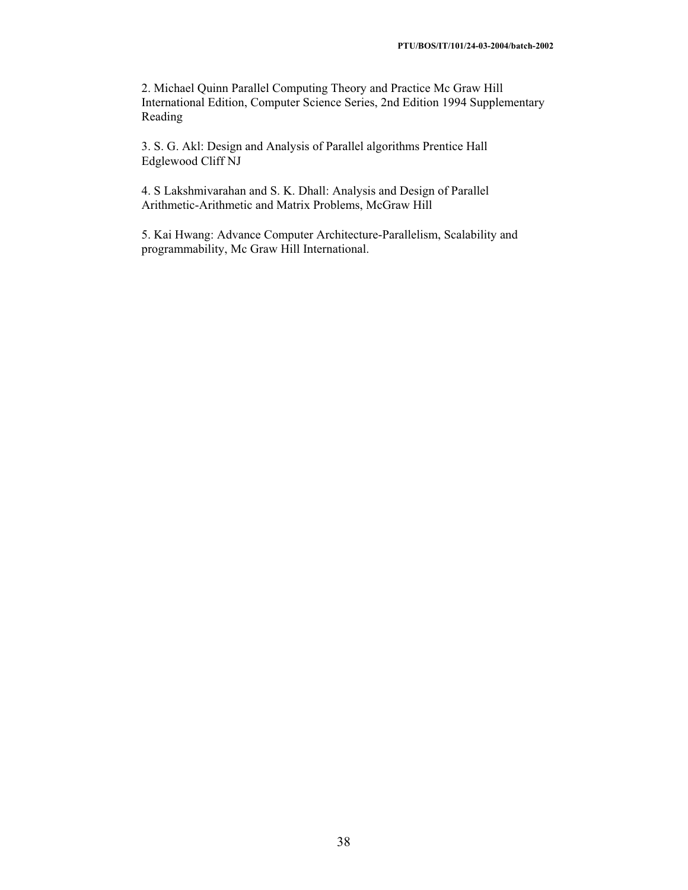2. Michael Quinn Parallel Computing Theory and Practice Mc Graw Hill International Edition, Computer Science Series, 2nd Edition 1994 Supplementary Reading

3. S. G. Akl: Design and Analysis of Parallel algorithms Prentice Hall Edglewood Cliff NJ

4. S Lakshmivarahan and S. K. Dhall: Analysis and Design of Parallel Arithmetic-Arithmetic and Matrix Problems, McGraw Hill

5. Kai Hwang: Advance Computer Architecture-Parallelism, Scalability and programmability, Mc Graw Hill International.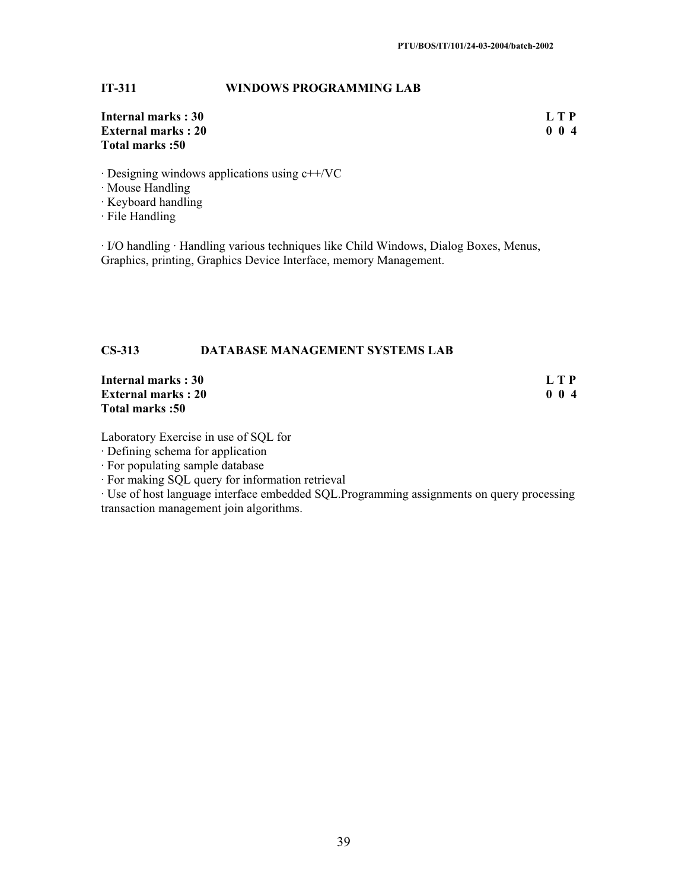## **IT-311 WINDOWS PROGRAMMING LAB**

## **Internal marks : 30 L T P**<br>**External marks : 20 0**  0 **1 External marks : 20 Total marks :50**

· Designing windows applications using c++/VC

· Mouse Handling

· Keyboard handling

· File Handling

· I/O handling · Handling various techniques like Child Windows, Dialog Boxes, Menus, Graphics, printing, Graphics Device Interface, memory Management.

## **CS-313 DATABASE MANAGEMENT SYSTEMS LAB**

**Internal marks : 30** L T P<br> **External marks : 20** 0 0 4 **External marks : 20 Total marks :50** 

Laboratory Exercise in use of SQL for

· Defining schema for application

· For populating sample database

· For making SQL query for information retrieval

· Use of host language interface embedded SQL.Programming assignments on query processing transaction management join algorithms.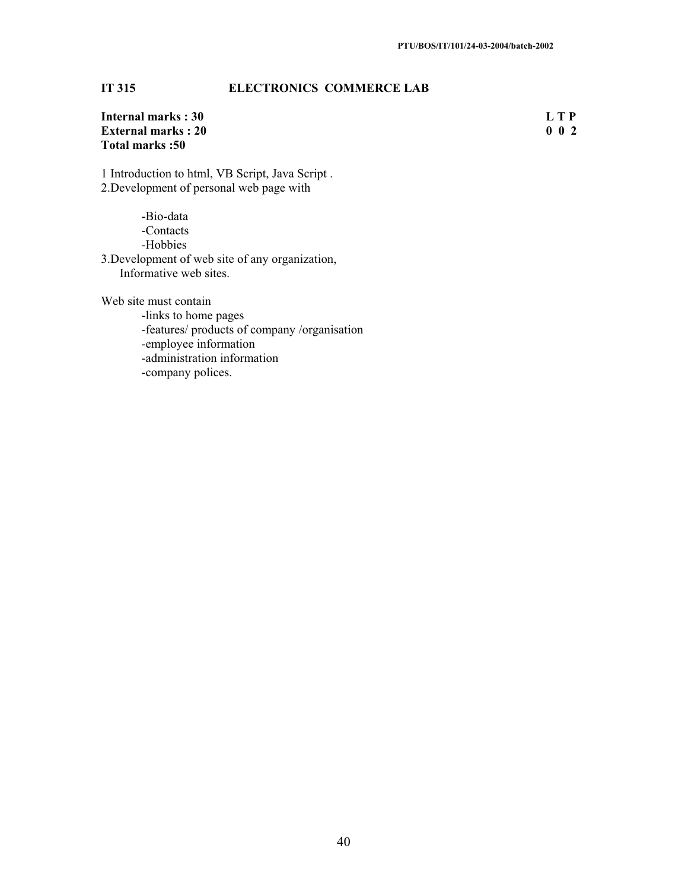## **IT 315 ELECTRONICS COMMERCE LAB**

| Internal marks: 30        | L T P           |
|---------------------------|-----------------|
| <b>External marks: 20</b> | $0\quad0\quad2$ |
| Total marks:50            |                 |

1 Introduction to html, VB Script, Java Script . 2.Development of personal web page with

-Bio-data -Contacts -Hobbies 3.Development of web site of any organization, Informative web sites.

Web site must contain

-links to home pages -features/ products of company /organisation -employee information -administration information -company polices.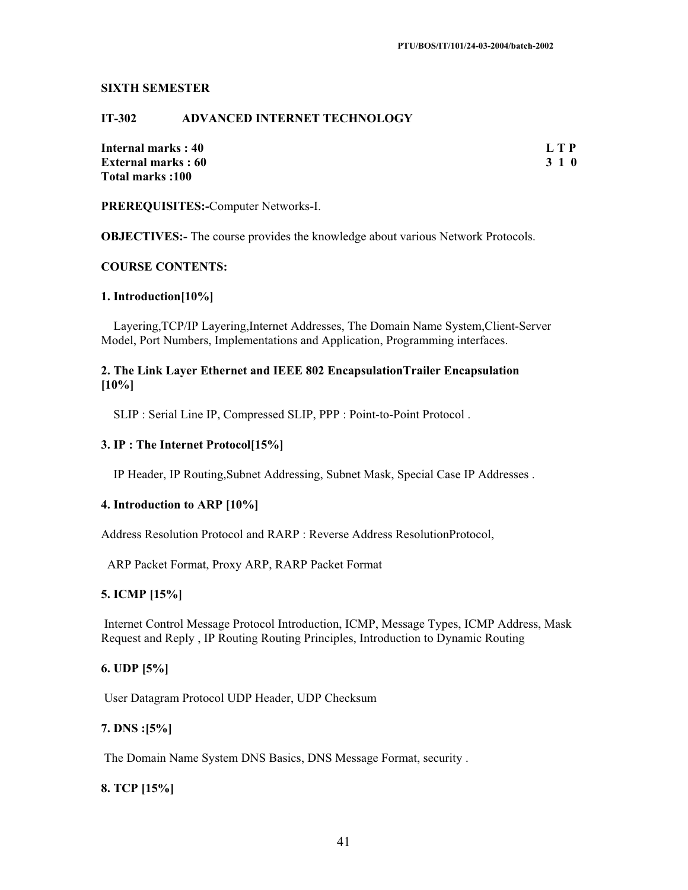#### **SIXTH SEMESTER**

## **IT-302 ADVANCED INTERNET TECHNOLOGY**

**Internal marks : 40 L T P External marks : 60 3 1 0 Total marks :100** 

**PREREQUISITES:-**Computer Networks-I.

**OBJECTIVES:-** The course provides the knowledge about various Network Protocols.

## **COURSE CONTENTS:**

#### **1. Introduction[10%]**

 Layering,TCP/IP Layering,Internet Addresses, The Domain Name System,Client-Server Model, Port Numbers, Implementations and Application, Programming interfaces.

## **2. The Link Layer Ethernet and IEEE 802 EncapsulationTrailer Encapsulation [10%]**

SLIP : Serial Line IP, Compressed SLIP, PPP : Point-to-Point Protocol .

## **3. IP : The Internet Protocol[15%]**

IP Header, IP Routing,Subnet Addressing, Subnet Mask, Special Case IP Addresses .

#### **4. Introduction to ARP [10%]**

Address Resolution Protocol and RARP : Reverse Address ResolutionProtocol,

ARP Packet Format, Proxy ARP, RARP Packet Format

## **5. ICMP [15%]**

 Internet Control Message Protocol Introduction, ICMP, Message Types, ICMP Address, Mask Request and Reply , IP Routing Routing Principles, Introduction to Dynamic Routing

## **6. UDP [5%]**

User Datagram Protocol UDP Header, UDP Checksum

#### **7. DNS :[5%]**

The Domain Name System DNS Basics, DNS Message Format, security .

## **8. TCP [15%]**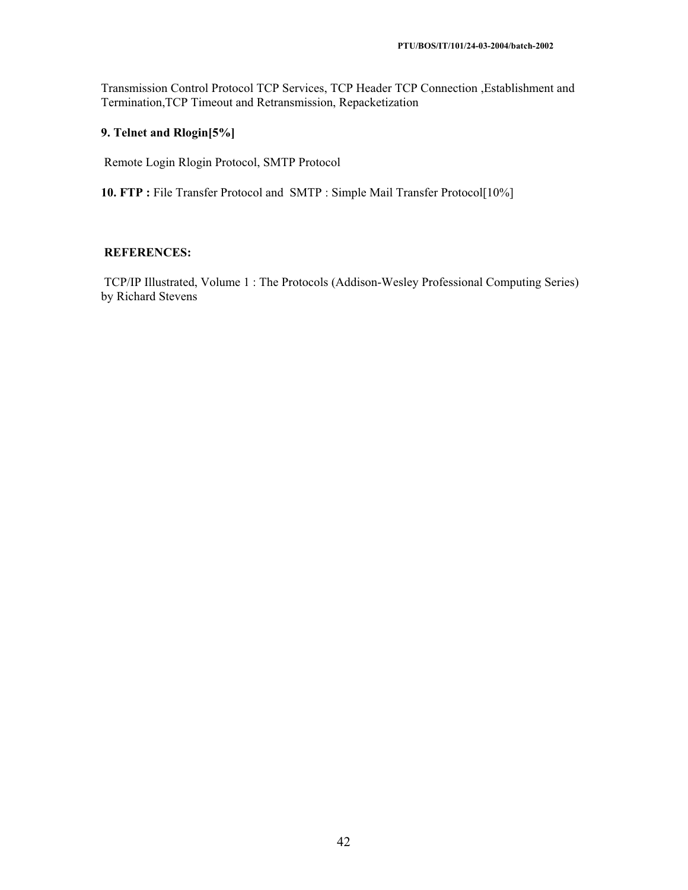Transmission Control Protocol TCP Services, TCP Header TCP Connection ,Establishment and Termination,TCP Timeout and Retransmission, Repacketization

## **9. Telnet and Rlogin[5%]**

Remote Login Rlogin Protocol, SMTP Protocol

10. FTP : File Transfer Protocol and SMTP : Simple Mail Transfer Protocol<sup>[10%]</sup>

## **REFERENCES:**

 TCP/IP Illustrated, Volume 1 : The Protocols (Addison-Wesley Professional Computing Series) by Richard Stevens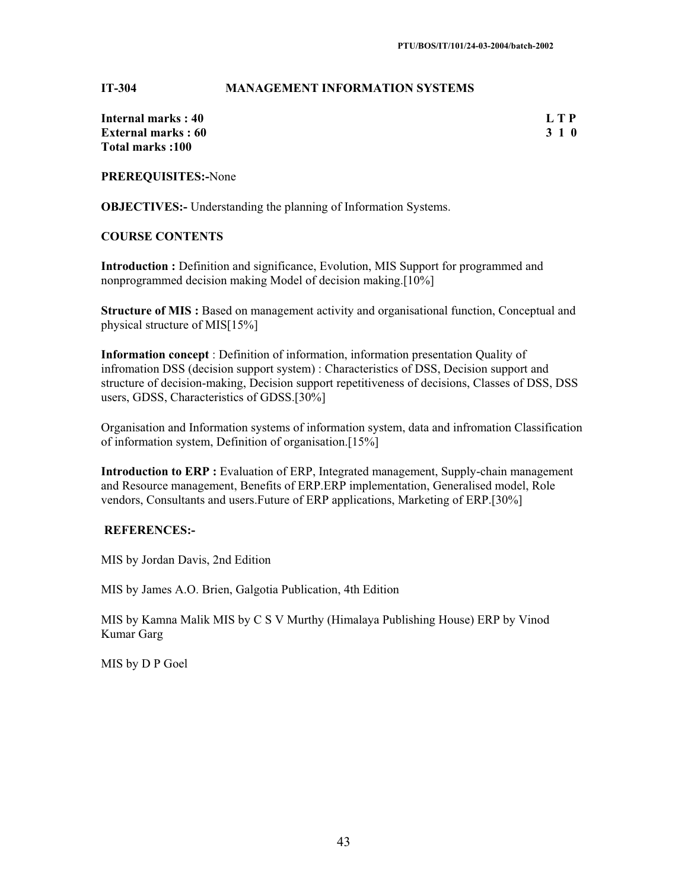#### **IT-304 MANAGEMENT INFORMATION SYSTEMS**

| Internal marks : 40        | L T P |
|----------------------------|-------|
| <b>External marks : 60</b> | 3 1 0 |
| Total marks :100           |       |

**PREREQUISITES:-**None

**OBJECTIVES:-** Understanding the planning of Information Systems.

#### **COURSE CONTENTS**

**Introduction :** Definition and significance, Evolution, MIS Support for programmed and nonprogrammed decision making Model of decision making.[10%]

**Structure of MIS :** Based on management activity and organisational function, Conceptual and physical structure of MIS[15%]

**Information concept** : Definition of information, information presentation Quality of infromation DSS (decision support system) : Characteristics of DSS, Decision support and structure of decision-making, Decision support repetitiveness of decisions, Classes of DSS, DSS users, GDSS, Characteristics of GDSS.[30%]

Organisation and Information systems of information system, data and infromation Classification of information system, Definition of organisation.[15%]

**Introduction to ERP**: Evaluation of ERP, Integrated management, Supply-chain management and Resource management, Benefits of ERP.ERP implementation, Generalised model, Role vendors, Consultants and users.Future of ERP applications, Marketing of ERP.[30%]

#### **REFERENCES:-**

MIS by Jordan Davis, 2nd Edition

MIS by James A.O. Brien, Galgotia Publication, 4th Edition

MIS by Kamna Malik MIS by C S V Murthy (Himalaya Publishing House) ERP by Vinod Kumar Garg

MIS by D P Goel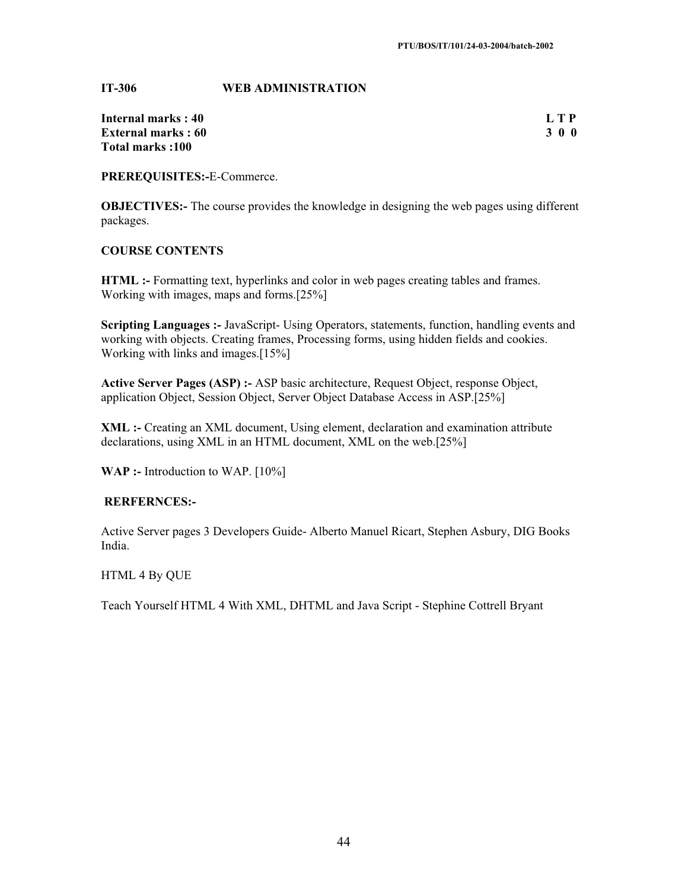**IT-306 WEB ADMINISTRATION**

| Internal marks: 40        | LTP   |
|---------------------------|-------|
| <b>External marks: 60</b> | 3 0 0 |
| Total marks :100          |       |

**PREREQUISITES:-**E-Commerce.

**OBJECTIVES:**- The course provides the knowledge in designing the web pages using different packages.

## **COURSE CONTENTS**

**HTML :-** Formatting text, hyperlinks and color in web pages creating tables and frames. Working with images, maps and forms.[25%]

**Scripting Languages :-** JavaScript- Using Operators, statements, function, handling events and working with objects. Creating frames, Processing forms, using hidden fields and cookies. Working with links and images.[15%]

**Active Server Pages (ASP) :-** ASP basic architecture, Request Object, response Object, application Object, Session Object, Server Object Database Access in ASP.[25%]

**XML :-** Creating an XML document, Using element, declaration and examination attribute declarations, using XML in an HTML document, XML on the web.[25%]

**WAP** :- Introduction to WAP. [10%]

#### **RERFERNCES:-**

Active Server pages 3 Developers Guide- Alberto Manuel Ricart, Stephen Asbury, DIG Books India.

#### HTML 4 By QUE

Teach Yourself HTML 4 With XML, DHTML and Java Script - Stephine Cottrell Bryant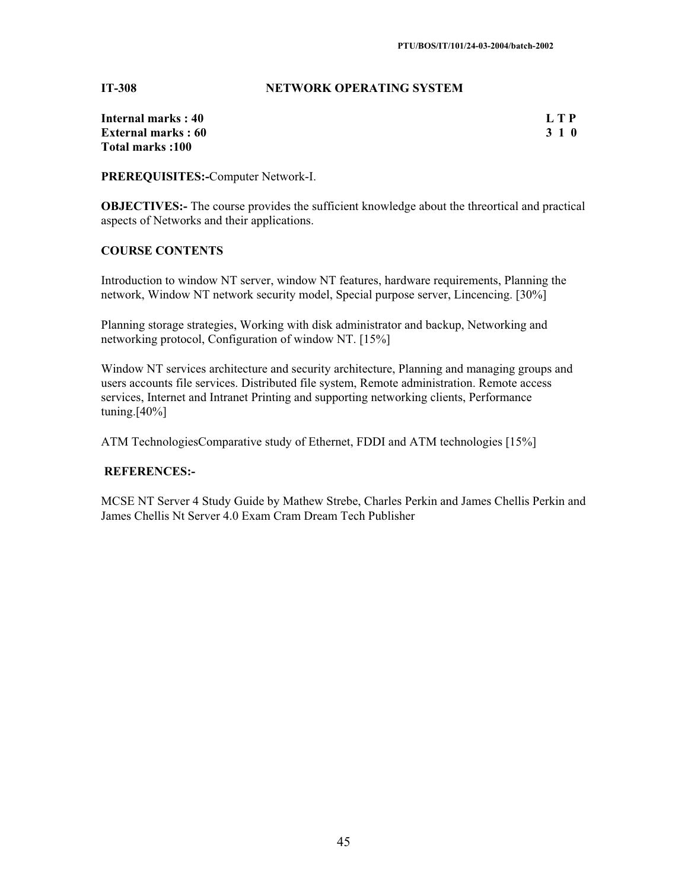## **IT-308 NETWORK OPERATING SYSTEM**

| Internal marks: 40        | L T P |
|---------------------------|-------|
| <b>External marks: 60</b> | 3 1 0 |
| Total marks: 100          |       |

**PREREQUISITES:-**Computer Network-I.

**OBJECTIVES:**- The course provides the sufficient knowledge about the threortical and practical aspects of Networks and their applications.

## **COURSE CONTENTS**

Introduction to window NT server, window NT features, hardware requirements, Planning the network, Window NT network security model, Special purpose server, Lincencing. [30%]

Planning storage strategies, Working with disk administrator and backup, Networking and networking protocol, Configuration of window NT. [15%]

Window NT services architecture and security architecture, Planning and managing groups and users accounts file services. Distributed file system, Remote administration. Remote access services, Internet and Intranet Printing and supporting networking clients, Performance  $tuning.[40\%]$ 

ATM TechnologiesComparative study of Ethernet, FDDI and ATM technologies [15%]

## **REFERENCES:-**

MCSE NT Server 4 Study Guide by Mathew Strebe, Charles Perkin and James Chellis Perkin and James Chellis Nt Server 4.0 Exam Cram Dream Tech Publisher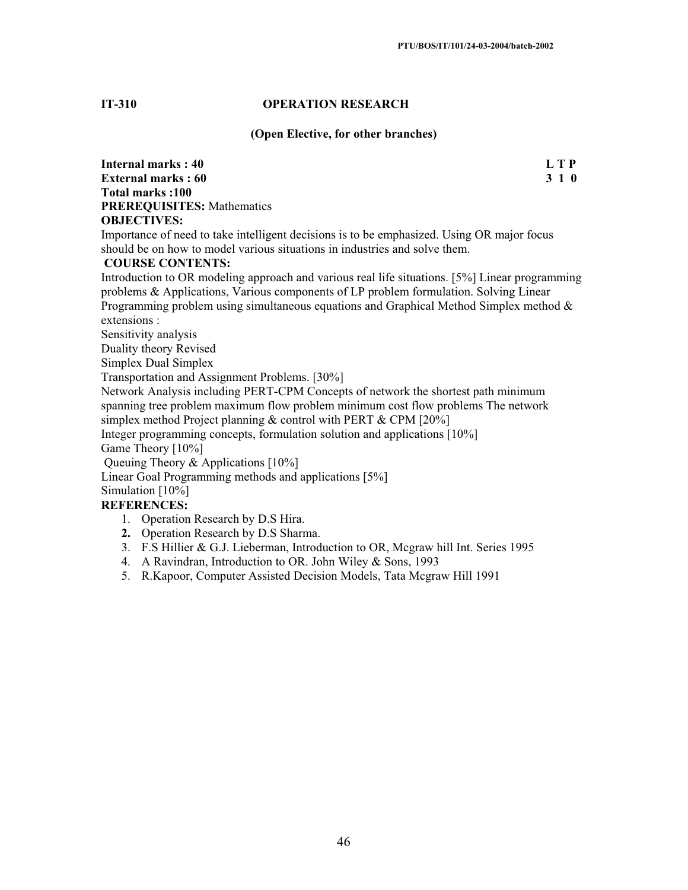#### **IT-310 OPERATION RESEARCH**

#### **(Open Elective, for other branches)**

**Internal marks : 40** L T P **External marks : 60 3 1 0 Total marks :100 PREREQUISITES:** Mathematics **OBJECTIVES:**

Importance of need to take intelligent decisions is to be emphasized. Using OR major focus should be on how to model various situations in industries and solve them.

#### **COURSE CONTENTS:**

Introduction to OR modeling approach and various real life situations. [5%] Linear programming problems & Applications, Various components of LP problem formulation. Solving Linear Programming problem using simultaneous equations and Graphical Method Simplex method  $\&$ extensions :

Sensitivity analysis

Duality theory Revised

Simplex Dual Simplex

Transportation and Assignment Problems. [30%]

Network Analysis including PERT-CPM Concepts of network the shortest path minimum spanning tree problem maximum flow problem minimum cost flow problems The network simplex method Project planning & control with PERT & CPM [20%]

Integer programming concepts, formulation solution and applications [10%]

Game Theory [10%]

Queuing Theory & Applications [10%]

Linear Goal Programming methods and applications [5%]

Simulation [10%]

- 1. Operation Research by D.S Hira.
- **2.** Operation Research by D.S Sharma.
- 3. F.S Hillier & G.J. Lieberman, Introduction to OR, Mcgraw hill Int. Series 1995
- 4. A Ravindran, Introduction to OR. John Wiley & Sons, 1993
- 5. R.Kapoor, Computer Assisted Decision Models, Tata Mcgraw Hill 1991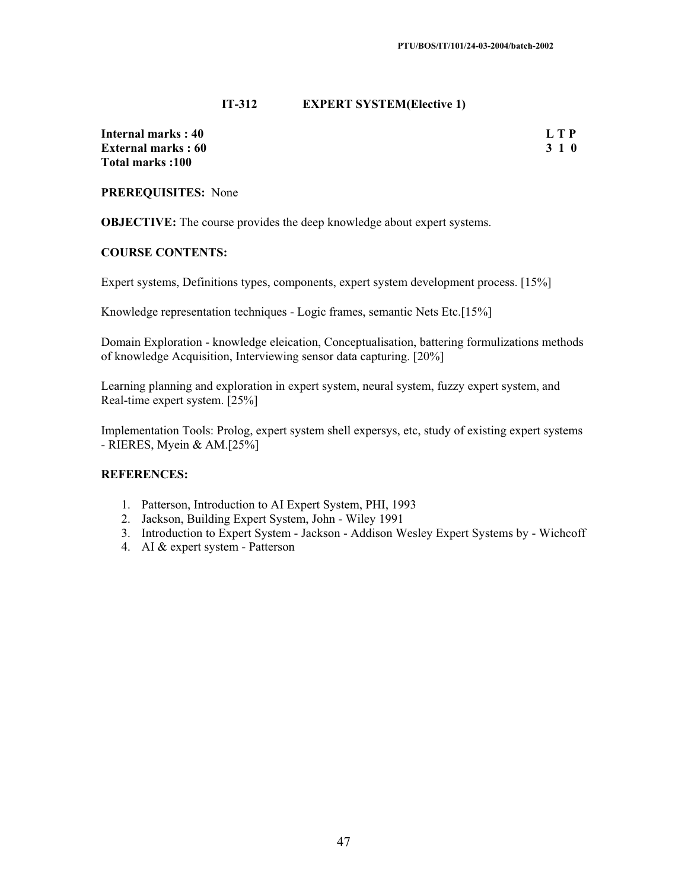#### **IT-312 EXPERT SYSTEM(Elective 1)**

**Internal marks : 40** L T P<br> **External marks : 60** 3 1 0 **External marks : 60 Total marks :100** 

## **PREREQUISITES:** None

**OBJECTIVE:** The course provides the deep knowledge about expert systems.

#### **COURSE CONTENTS:**

Expert systems, Definitions types, components, expert system development process. [15%]

Knowledge representation techniques - Logic frames, semantic Nets Etc.[15%]

Domain Exploration - knowledge eleication, Conceptualisation, battering formulizations methods of knowledge Acquisition, Interviewing sensor data capturing. [20%]

Learning planning and exploration in expert system, neural system, fuzzy expert system, and Real-time expert system. [25%]

Implementation Tools: Prolog, expert system shell expersys, etc, study of existing expert systems - RIERES, Myein & AM.[25%]

- 1. Patterson, Introduction to AI Expert System, PHI, 1993
- 2. Jackson, Building Expert System, John Wiley 1991
- 3. Introduction to Expert System Jackson Addison Wesley Expert Systems by Wichcoff
- 4. AI & expert system Patterson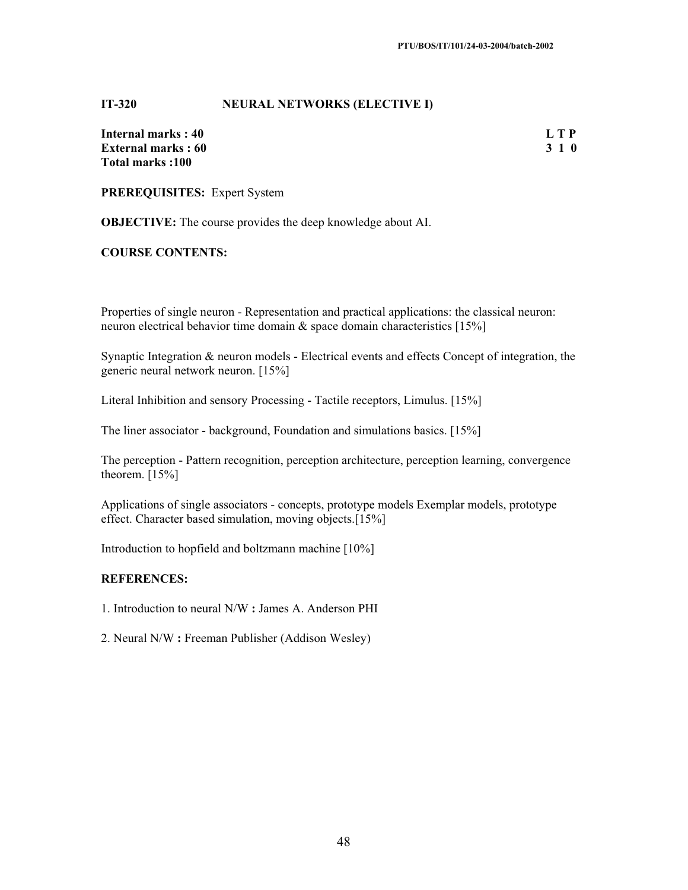#### **IT-320 NEURAL NETWORKS (ELECTIVE I)**

**Internal marks : 40** L T P **External marks : 60 3 1 0 Total marks :100** 

**PREREQUISITES:** Expert System

**OBJECTIVE:** The course provides the deep knowledge about AI.

#### **COURSE CONTENTS:**

Properties of single neuron - Representation and practical applications: the classical neuron: neuron electrical behavior time domain & space domain characteristics [15%]

Synaptic Integration & neuron models - Electrical events and effects Concept of integration, the generic neural network neuron. [15%]

Literal Inhibition and sensory Processing - Tactile receptors, Limulus. [15%]

The liner associator - background, Foundation and simulations basics. [15%]

The perception - Pattern recognition, perception architecture, perception learning, convergence theorem.  $[15\%]$ 

Applications of single associators - concepts, prototype models Exemplar models, prototype effect. Character based simulation, moving objects.[15%]

Introduction to hopfield and boltzmann machine [10%]

## **REFERENCES:**

1. Introduction to neural N/W **:** James A. Anderson PHI

2. Neural N/W **:** Freeman Publisher (Addison Wesley)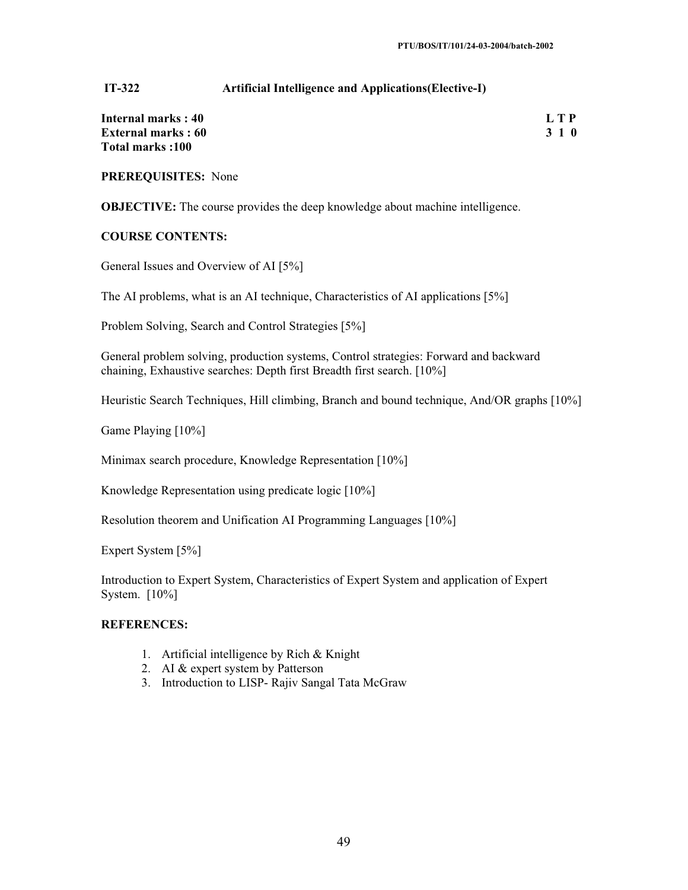#### **IT-322 Artificial Intelligence and Applications(Elective-I)**

| Internal marks: 40        | L T P |
|---------------------------|-------|
| <b>External marks: 60</b> | 3 1 0 |
| Total marks: 100          |       |

**PREREQUISITES:** None

**OBJECTIVE:** The course provides the deep knowledge about machine intelligence.

#### **COURSE CONTENTS:**

General Issues and Overview of AI [5%]

The AI problems, what is an AI technique, Characteristics of AI applications [5%]

Problem Solving, Search and Control Strategies [5%]

General problem solving, production systems, Control strategies: Forward and backward chaining, Exhaustive searches: Depth first Breadth first search. [10%]

Heuristic Search Techniques, Hill climbing, Branch and bound technique, And/OR graphs [10%]

Game Playing [10%]

Minimax search procedure, Knowledge Representation [10%]

Knowledge Representation using predicate logic [10%]

Resolution theorem and Unification AI Programming Languages [10%]

Expert System [5%]

Introduction to Expert System, Characteristics of Expert System and application of Expert System. [10%]

- 1. Artificial intelligence by Rich & Knight
- 2. AI & expert system by Patterson
- 3. Introduction to LISP- Rajiv Sangal Tata McGraw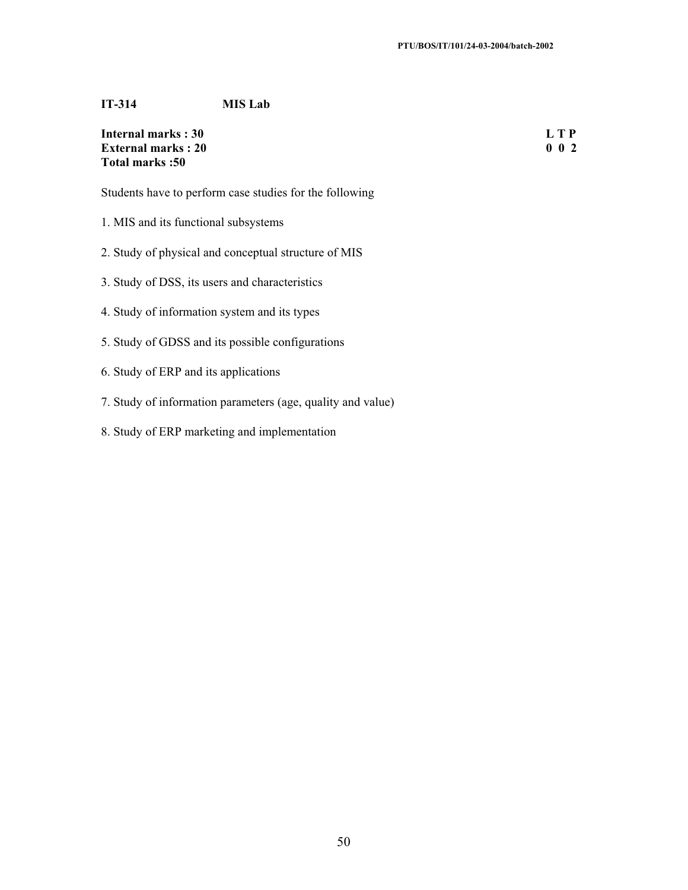## **IT-314 MIS Lab**

**Internal marks : 30** L T P<br> **External marks : 20** 0 0 2 **External marks : 20 Total marks :50** 

Students have to perform case studies for the following

- 1. MIS and its functional subsystems
- 2. Study of physical and conceptual structure of MIS
- 3. Study of DSS, its users and characteristics
- 4. Study of information system and its types
- 5. Study of GDSS and its possible configurations
- 6. Study of ERP and its applications
- 7. Study of information parameters (age, quality and value)
- 8. Study of ERP marketing and implementation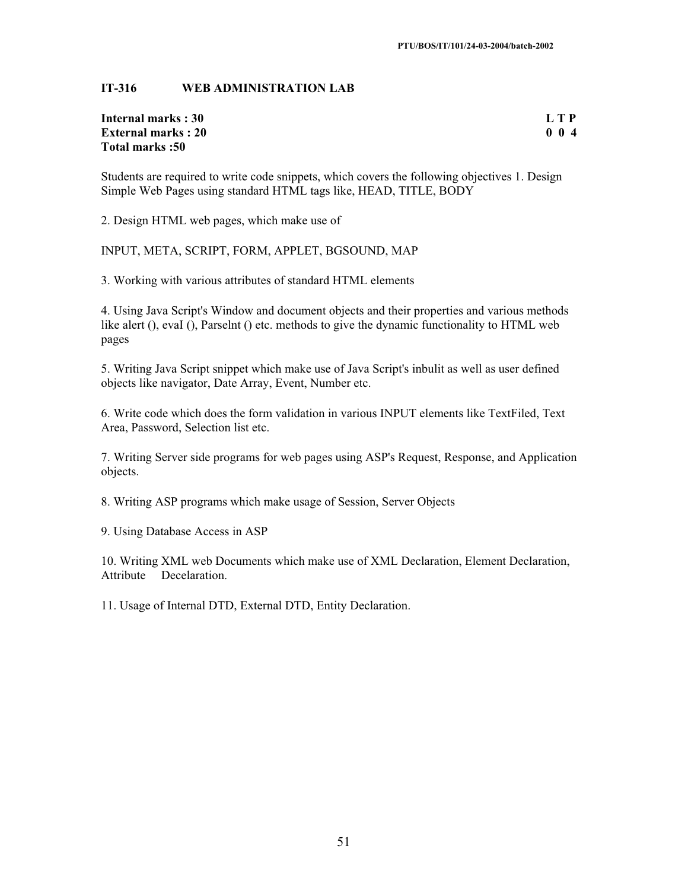## **IT-316 WEB ADMINISTRATION LAB**

## **Internal marks : 30 L T P External marks : 20 0 0 4 Total marks :50**

Students are required to write code snippets, which covers the following objectives 1. Design Simple Web Pages using standard HTML tags like, HEAD, TITLE, BODY

2. Design HTML web pages, which make use of

INPUT, META, SCRIPT, FORM, APPLET, BGSOUND, MAP

3. Working with various attributes of standard HTML elements

4. Using Java Script's Window and document objects and their properties and various methods like alert (), evaI (), Parselnt () etc. methods to give the dynamic functionality to HTML web pages

5. Writing Java Script snippet which make use of Java Script's inbulit as well as user defined objects like navigator, Date Array, Event, Number etc.

6. Write code which does the form validation in various INPUT elements like TextFiled, Text Area, Password, Selection list etc.

7. Writing Server side programs for web pages using ASP's Request, Response, and Application objects.

8. Writing ASP programs which make usage of Session, Server Objects

9. Using Database Access in ASP

10. Writing XML web Documents which make use of XML Declaration, Element Declaration, Attribute Decelaration.

11. Usage of Internal DTD, External DTD, Entity Declaration.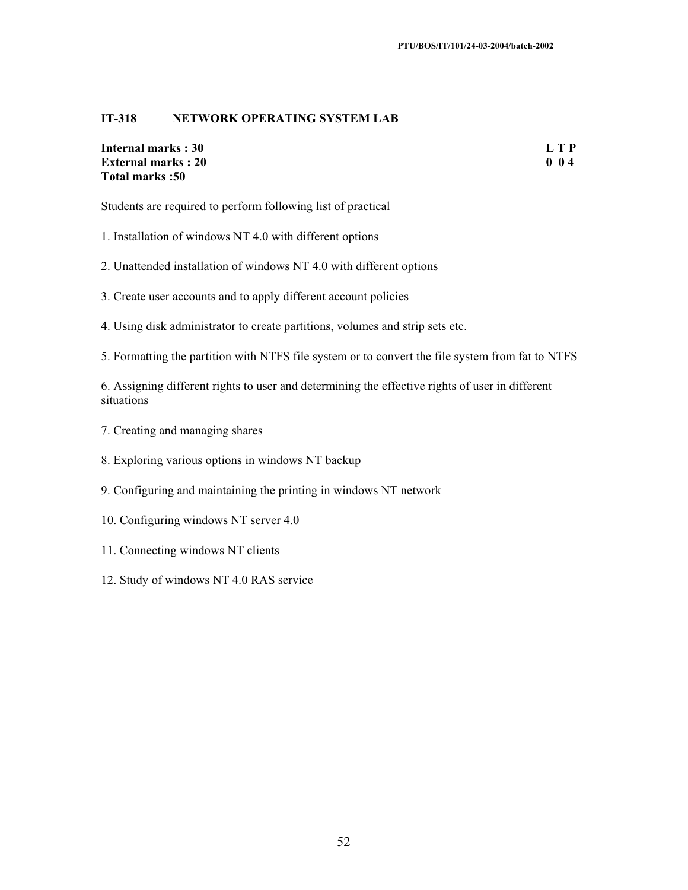## **IT-318 NETWORK OPERATING SYSTEM LAB**

**Internal marks : 30** L T P<br> **External marks : 20** 0 0 4 **External marks : 20 Total marks :50** 

Students are required to perform following list of practical

- 1. Installation of windows NT 4.0 with different options
- 2. Unattended installation of windows NT 4.0 with different options
- 3. Create user accounts and to apply different account policies
- 4. Using disk administrator to create partitions, volumes and strip sets etc.

5. Formatting the partition with NTFS file system or to convert the file system from fat to NTFS

6. Assigning different rights to user and determining the effective rights of user in different situations

- 7. Creating and managing shares
- 8. Exploring various options in windows NT backup
- 9. Configuring and maintaining the printing in windows NT network
- 10. Configuring windows NT server 4.0
- 11. Connecting windows NT clients
- 12. Study of windows NT 4.0 RAS service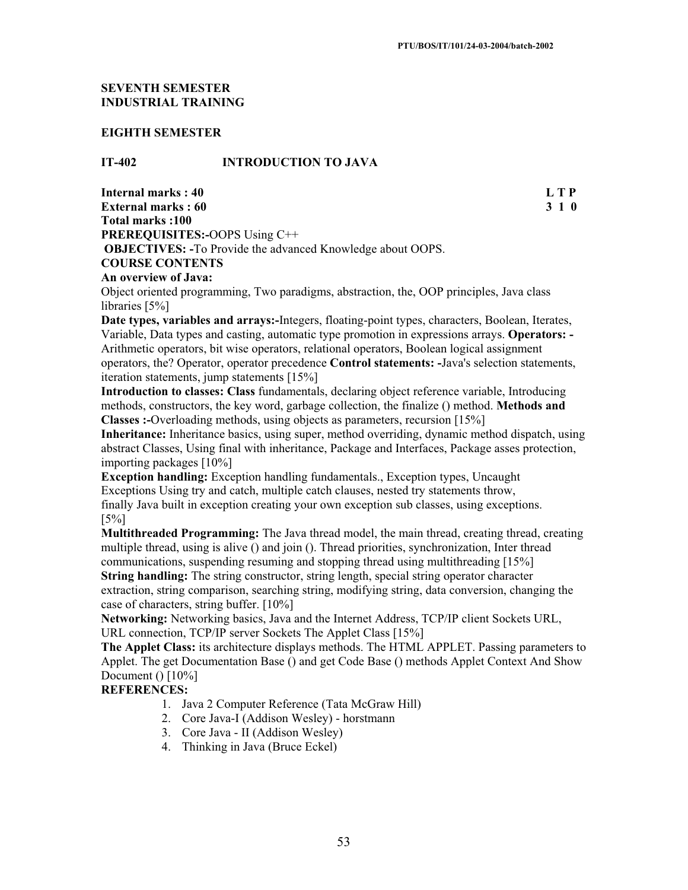## **SEVENTH SEMESTER INDUSTRIAL TRAINING**

#### **EIGHTH SEMESTER**

#### **IT-402 INTRODUCTION TO JAVA**

**Internal marks : 40 L T P External marks : 60 3 1 0 Total marks :100 PREREQUISITES:-**OOPS Using C++  **OBJECTIVES: -**To Provide the advanced Knowledge about OOPS. **COURSE CONTENTS**

#### **An overview of Java:**

Object oriented programming, Two paradigms, abstraction, the, OOP principles, Java class libraries [5%]

**Date types, variables and arrays:-**Integers, floating-point types, characters, Boolean, Iterates, Variable, Data types and casting, automatic type promotion in expressions arrays. **Operators: -** Arithmetic operators, bit wise operators, relational operators, Boolean logical assignment operators, the? Operator, operator precedence **Control statements: -**Java's selection statements, iteration statements, jump statements [15%]

**Introduction to classes: Class** fundamentals, declaring object reference variable, Introducing methods, constructors, the key word, garbage collection, the finalize () method. **Methods and Classes :-**Overloading methods, using objects as parameters, recursion [15%]

**Inheritance:** Inheritance basics, using super, method overriding, dynamic method dispatch, using abstract Classes, Using final with inheritance, Package and Interfaces, Package asses protection, importing packages [10%]

**Exception handling:** Exception handling fundamentals., Exception types, Uncaught Exceptions Using try and catch, multiple catch clauses, nested try statements throw, finally Java built in exception creating your own exception sub classes, using exceptions. [5%]

**Multithreaded Programming:** The Java thread model, the main thread, creating thread, creating multiple thread, using is alive () and join (). Thread priorities, synchronization, Inter thread communications, suspending resuming and stopping thread using multithreading [15%]

**String handling:** The string constructor, string length, special string operator character extraction, string comparison, searching string, modifying string, data conversion, changing the case of characters, string buffer. [10%]

**Networking:** Networking basics, Java and the Internet Address, TCP/IP client Sockets URL, URL connection, TCP/IP server Sockets The Applet Class [15%]

**The Applet Class:** its architecture displays methods. The HTML APPLET. Passing parameters to Applet. The get Documentation Base () and get Code Base () methods Applet Context And Show Document  $() [10\%]$ 

- 1. Java 2 Computer Reference (Tata McGraw Hill)
- 2. Core Java-I (Addison Wesley) horstmann
- 3. Core Java II (Addison Wesley)
- 4. Thinking in Java (Bruce Eckel)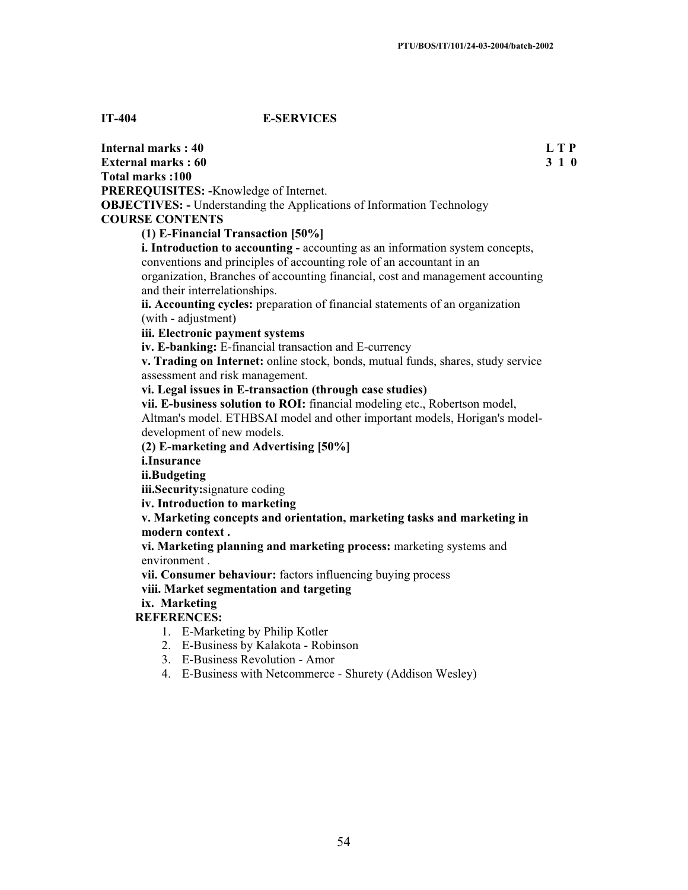## **IT-404 E-SERVICES**

**Internal marks : 40 L T P External marks : 60 3 1 0 3 2 3 3 4 6 3 3 4 6 3 3 4 6 3 4 7 4 7 7 8 4 7 7 7 8 7 7 8 7 7 8 7 7 8 7 7 8 7 7 8 7 7 8 7 7 8 7 7 8 7 7 8 7 7 8 7 7 8 7 7 8 7 7 8 7 7 8 7 7 8 7 7 8 7 7 8 7 7 8 7 7 8 7 7 8 7 7 8 7 7 8 7 7 8 7 7 8 Total marks :100 PREREQUISITES: -**Knowledge of Internet. **OBJECTIVES: -** Understanding the Applications of Information Technology **COURSE CONTENTS (1) E-Financial Transaction [50%] i. Introduction to accounting -** accounting as an information system concepts, conventions and principles of accounting role of an accountant in an organization, Branches of accounting financial, cost and management accounting and their interrelationships. **ii. Accounting cycles:** preparation of financial statements of an organization (with - adjustment) **iii. Electronic payment systems iv. E-banking:** E-financial transaction and E-currency **v. Trading on Internet:** online stock, bonds, mutual funds, shares, study service assessment and risk management. **vi. Legal issues in E-transaction (through case studies) vii. E-business solution to ROI:** financial modeling etc., Robertson model, Altman's model. ETHBSAI model and other important models, Horigan's modeldevelopment of new models. **(2) E-marketing and Advertising [50%] i.Insurance ii.Budgeting iii.Security:**signature coding **iv. Introduction to marketing v. Marketing concepts and orientation, marketing tasks and marketing in modern context . vi. Marketing planning and marketing process:** marketing systems and environment . **vii. Consumer behaviour:** factors influencing buying process **viii. Market segmentation and targeting ix. Marketing REFERENCES:** 1. E-Marketing by Philip Kotler 2. E-Business by Kalakota - Robinson 3. E-Business Revolution - Amor 4. E-Business with Netcommerce - Shurety (Addison Wesley)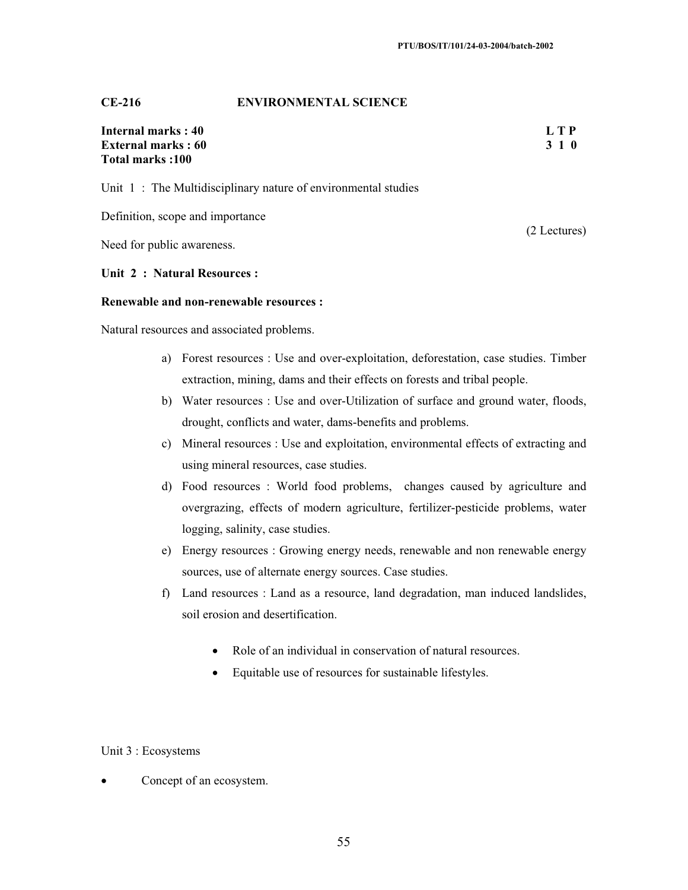#### **CE-216 ENVIRONMENTAL SCIENCE**

## **Internal marks : 40 L T P External marks : 60 3 1 0 3 2 3 4 4 5 3 4 6 3 4 5 4 5 4 6 4 7 6 4 7 6 4 7 6 7 7 8 7 7 8 7 7 8 7 7 8 7 7 8 7 7 8 7 7 8 7 7 8 7 7 8 7 7 8 7 7 8 7 7 8 7 7 8 7 7 8 7 7 8 7 7 8 7 7 8 7 7 8 7 7 8 7 7 8 7 7 8 7 7 8 7 7 8 7 7 8 7 Total marks :100**

Unit 1: The Multidisciplinary nature of environmental studies

Definition, scope and importance

Need for public awareness.

#### **Unit 2 : Natural Resources :**

#### **Renewable and non-renewable resources :**

Natural resources and associated problems.

- a) Forest resources : Use and over-exploitation, deforestation, case studies. Timber extraction, mining, dams and their effects on forests and tribal people.
- b) Water resources : Use and over-Utilization of surface and ground water, floods, drought, conflicts and water, dams-benefits and problems.
- c) Mineral resources : Use and exploitation, environmental effects of extracting and using mineral resources, case studies.
- d) Food resources : World food problems, changes caused by agriculture and overgrazing, effects of modern agriculture, fertilizer-pesticide problems, water logging, salinity, case studies.
- e) Energy resources : Growing energy needs, renewable and non renewable energy sources, use of alternate energy sources. Case studies.
- f) Land resources : Land as a resource, land degradation, man induced landslides, soil erosion and desertification.
	- Role of an individual in conservation of natural resources.
	- Equitable use of resources for sustainable lifestyles.

#### Unit 3 : Ecosystems

• Concept of an ecosystem.

(2 Lectures)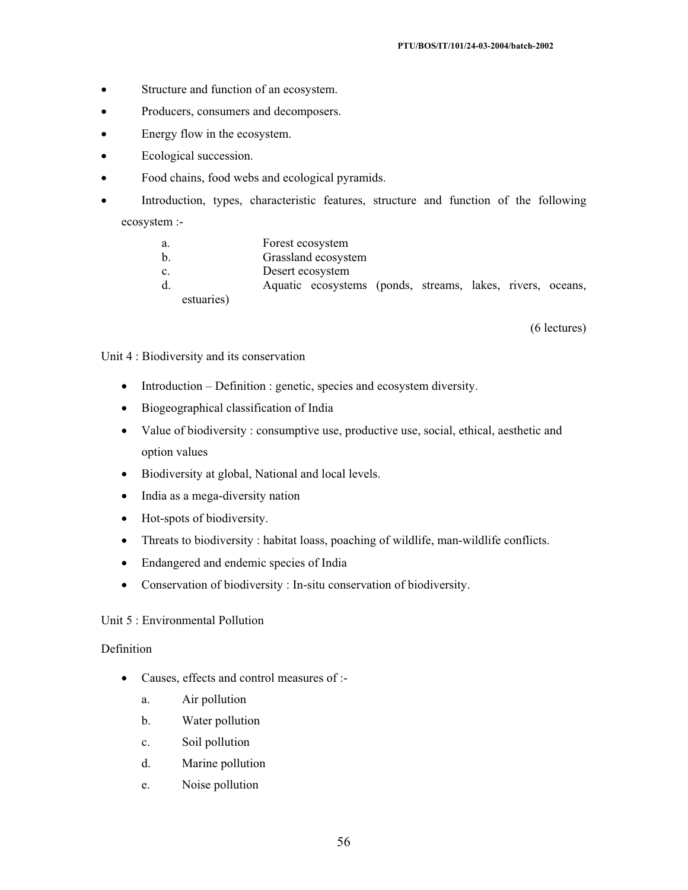- Structure and function of an ecosystem.
- Producers, consumers and decomposers.
- Energy flow in the ecosystem.
- Ecological succession.
- Food chains, food webs and ecological pyramids.
- Introduction, types, characteristic features, structure and function of the following ecosystem :-

- a. Forest ecosystem
- b. Grassland ecosystem
- c. Desert ecosystem
- d. Aquatic ecosystems (ponds, streams, lakes, rivers, oceans, estuaries)

(6 lectures)

Unit 4 : Biodiversity and its conservation

- $\bullet$  Introduction Definition : genetic, species and ecosystem diversity.
- Biogeographical classification of India
- Value of biodiversity : consumptive use, productive use, social, ethical, aesthetic and option values
- Biodiversity at global, National and local levels.
- $\bullet$  India as a mega-diversity nation
- $\bullet$  Hot-spots of biodiversity.
- Threats to biodiversity : habitat loass, poaching of wildlife, man-wildlife conflicts.
- Endangered and endemic species of India
- Conservation of biodiversity : In-situ conservation of biodiversity.

## Unit 5 : Environmental Pollution

## Definition

- Causes, effects and control measures of :
	- a. Air pollution
	- b. Water pollution
	- c. Soil pollution
	- d. Marine pollution
	- e. Noise pollution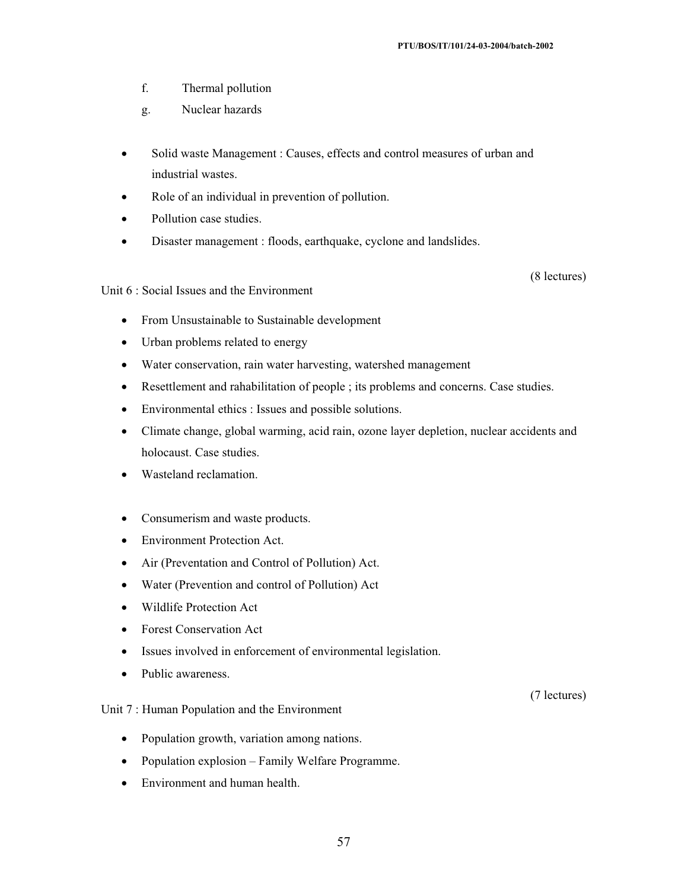- f. Thermal pollution
- g. Nuclear hazards
- Solid waste Management : Causes, effects and control measures of urban and industrial wastes.
- Role of an individual in prevention of pollution.
- Pollution case studies.
- Disaster management : floods, earthquake, cyclone and landslides.

(8 lectures)

Unit 6 : Social Issues and the Environment

- From Unsustainable to Sustainable development
- Urban problems related to energy
- Water conservation, rain water harvesting, watershed management
- Resettlement and rahabilitation of people ; its problems and concerns. Case studies.
- Environmental ethics : Issues and possible solutions.
- Climate change, global warming, acid rain, ozone layer depletion, nuclear accidents and holocaust. Case studies.
- Wasteland reclamation.
- Consumerism and waste products.
- Environment Protection Act.
- Air (Preventation and Control of Pollution) Act.
- Water (Prevention and control of Pollution) Act
- Wildlife Protection Act
- Forest Conservation Act
- Issues involved in enforcement of environmental legislation.
- Public awareness.

#### Unit 7 : Human Population and the Environment

- Population growth, variation among nations.
- Population explosion Family Welfare Programme.
- $\bullet$  Environment and human health.

(7 lectures)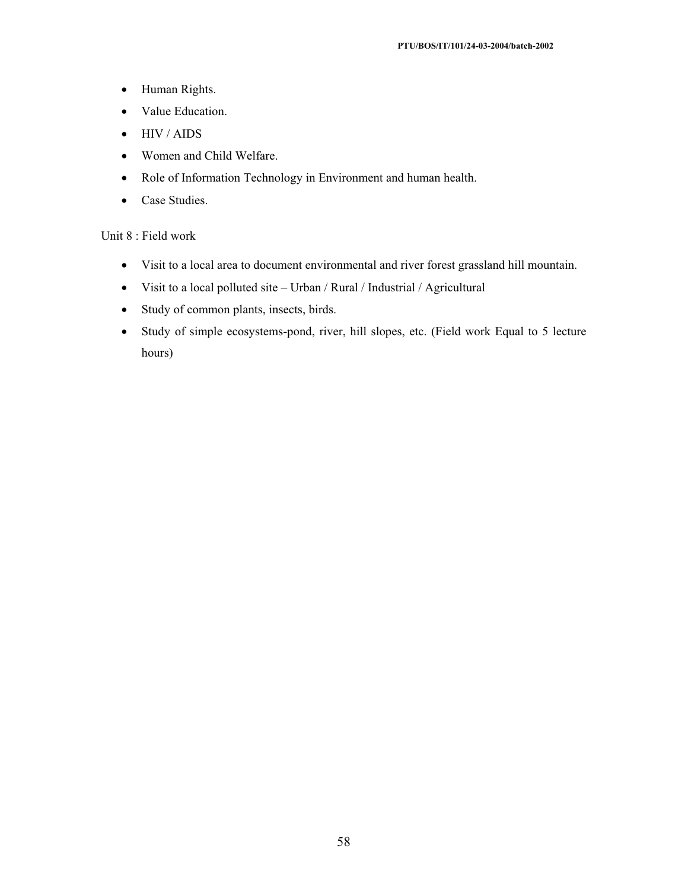- Human Rights.
- Value Education.
- $\bullet$  HIV / AIDS
- Women and Child Welfare.
- Role of Information Technology in Environment and human health.
- Case Studies.

## Unit 8 : Field work

- Visit to a local area to document environmental and river forest grassland hill mountain.
- $\bullet$  Visit to a local polluted site Urban / Rural / Industrial / Agricultural
- Study of common plants, insects, birds.
- Study of simple ecosystems-pond, river, hill slopes, etc. (Field work Equal to 5 lecture hours)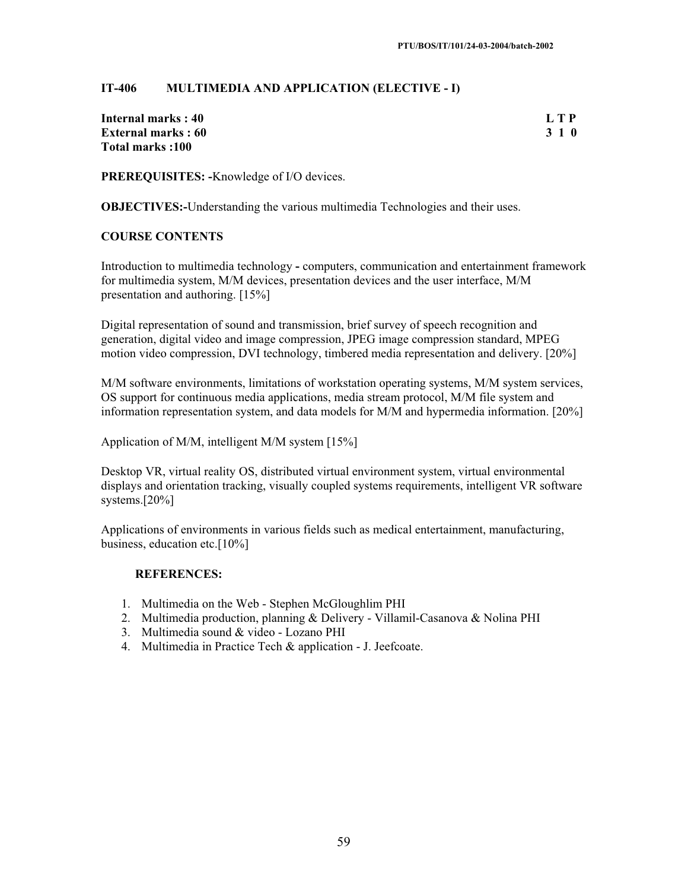## **IT-406 MULTIMEDIA AND APPLICATION (ELECTIVE - I)**

| Internal marks : 40        | L T P |
|----------------------------|-------|
| <b>External marks : 60</b> | 3 1 0 |
| Total marks :100           |       |

**PREREQUISITES: -**Knowledge of I/O devices.

**OBJECTIVES:**-Understanding the various multimedia Technologies and their uses.

#### **COURSE CONTENTS**

Introduction to multimedia technology **-** computers, communication and entertainment framework for multimedia system, M/M devices, presentation devices and the user interface, M/M presentation and authoring. [15%]

Digital representation of sound and transmission, brief survey of speech recognition and generation, digital video and image compression, JPEG image compression standard, MPEG motion video compression, DVI technology, timbered media representation and delivery. [20%]

M/M software environments, limitations of workstation operating systems, M/M system services, OS support for continuous media applications, media stream protocol, M/M file system and information representation system, and data models for M/M and hypermedia information. [20%]

Application of M/M, intelligent M/M system [15%]

Desktop VR, virtual reality OS, distributed virtual environment system, virtual environmental displays and orientation tracking, visually coupled systems requirements, intelligent VR software systems.[20%]

Applications of environments in various fields such as medical entertainment, manufacturing, business, education etc.[10%]

- 1. Multimedia on the Web Stephen McGloughlim PHI
- 2. Multimedia production, planning & Delivery Villamil-Casanova & Nolina PHI
- 3. Multimedia sound & video Lozano PHI
- 4. Multimedia in Practice Tech & application J. Jeefcoate.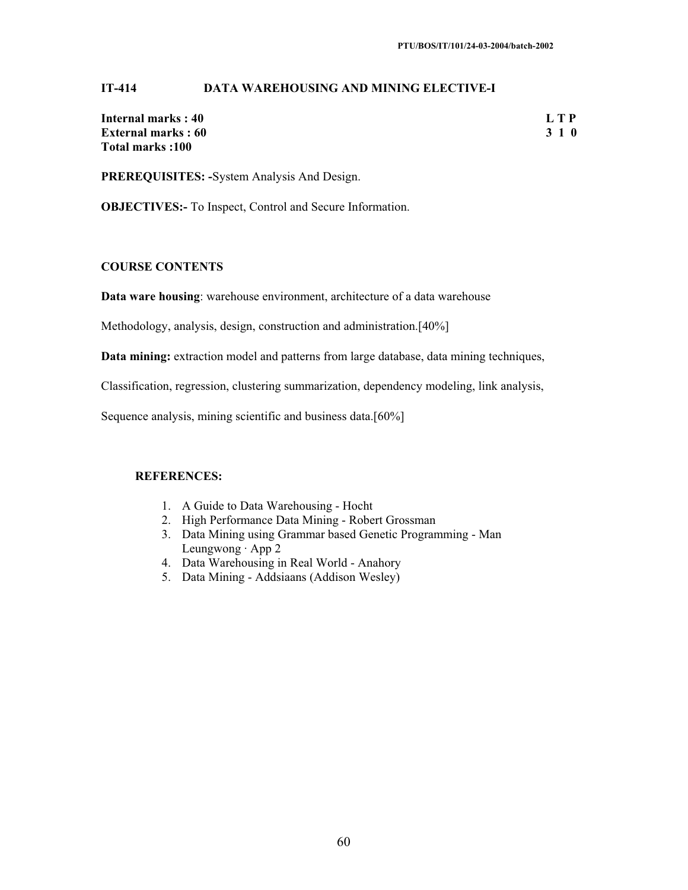## **IT-414 DATA WAREHOUSING AND MINING ELECTIVE-I**

| Internal marks: 40        | L T P |
|---------------------------|-------|
| <b>External marks: 60</b> | 3 1 0 |
| Total marks: 100          |       |

**PREREQUISITES: -**System Analysis And Design.

**OBJECTIVES:-** To Inspect, Control and Secure Information.

## **COURSE CONTENTS**

**Data ware housing**: warehouse environment, architecture of a data warehouse

Methodology, analysis, design, construction and administration.[40%]

**Data mining:** extraction model and patterns from large database, data mining techniques,

Classification, regression, clustering summarization, dependency modeling, link analysis,

Sequence analysis, mining scientific and business data.[60%]

- 1. A Guide to Data Warehousing Hocht
- 2. High Performance Data Mining Robert Grossman
- 3. Data Mining using Grammar based Genetic Programming Man Leungwong · App 2
- 4. Data Warehousing in Real World Anahory
- 5. Data Mining Addsiaans (Addison Wesley)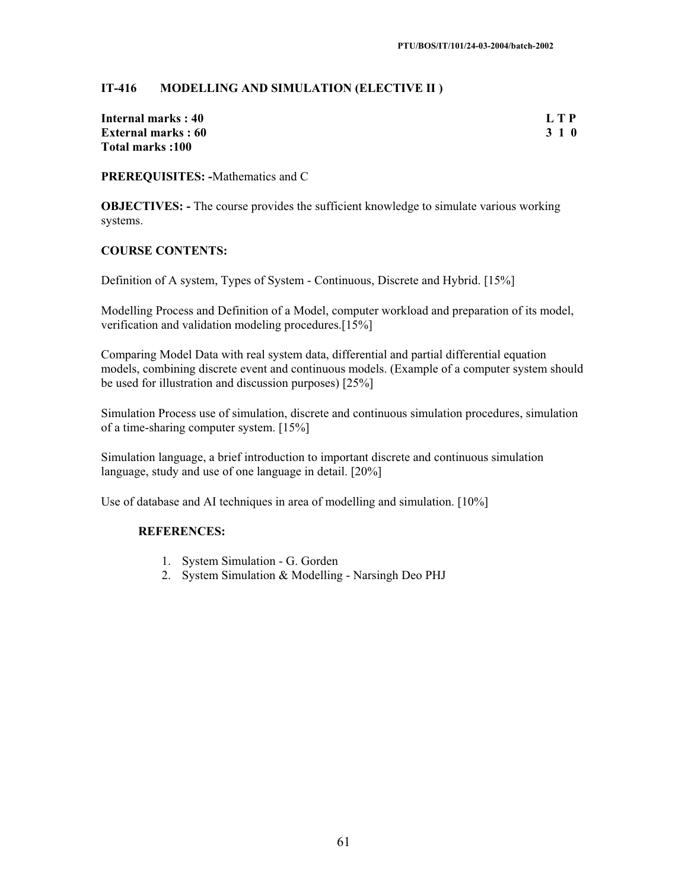## **IT-416 MODELLING AND SIMULATION (ELECTIVE II )**

| Internal marks : 40        | L T P |
|----------------------------|-------|
| <b>External marks : 60</b> | 3 1 0 |
| Total marks :100           |       |

**PREREQUISITES: -**Mathematics and C

**OBJECTIVES:** - The course provides the sufficient knowledge to simulate various working systems.

#### **COURSE CONTENTS:**

Definition of A system, Types of System - Continuous, Discrete and Hybrid. [15%]

Modelling Process and Definition of a Model, computer workload and preparation of its model, verification and validation modeling procedures.[15%]

Comparing Model Data with real system data, differential and partial differential equation models, combining discrete event and continuous models. (Example of a computer system should be used for illustration and discussion purposes) [25%]

Simulation Process use of simulation, discrete and continuous simulation procedures, simulation of a time-sharing computer system. [15%]

Simulation language, a brief introduction to important discrete and continuous simulation language, study and use of one language in detail. [20%]

Use of database and AI techniques in area of modelling and simulation. [10%]

- 1. System Simulation G. Gorden
- 2. System Simulation & Modelling Narsingh Deo PHJ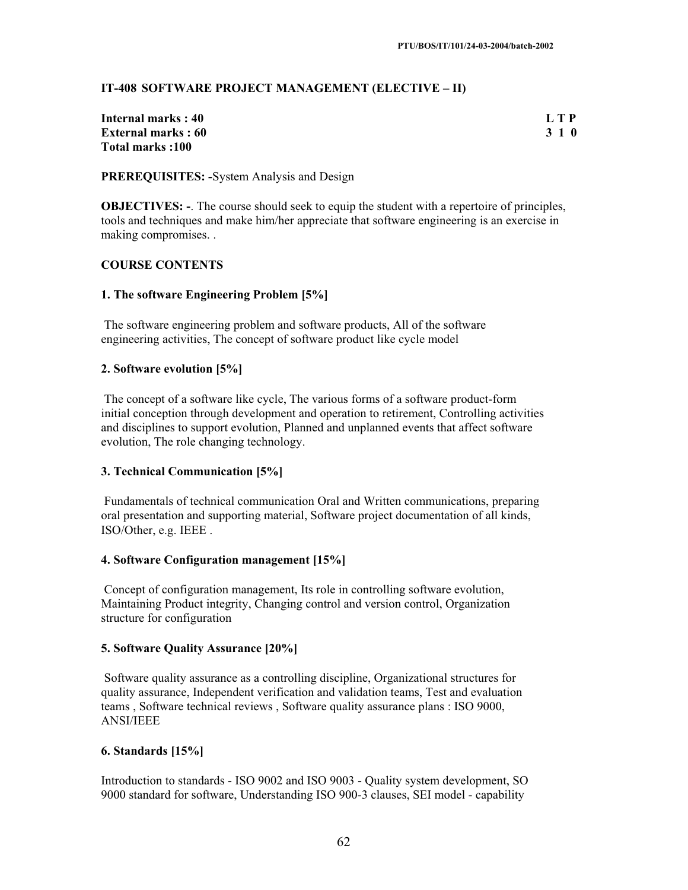## **IT-408 SOFTWARE PROJECT MANAGEMENT (ELECTIVE – II)**

| Internal marks : 40        | L T P |
|----------------------------|-------|
| <b>External marks : 60</b> | 3 1 0 |
| Total marks :100           |       |

## **PREREQUISITES: -**System Analysis and Design

**OBJECTIVES:** -. The course should seek to equip the student with a repertoire of principles, tools and techniques and make him/her appreciate that software engineering is an exercise in making compromises. .

## **COURSE CONTENTS**

## **1. The software Engineering Problem [5%]**

 The software engineering problem and software products, All of the software engineering activities, The concept of software product like cycle model

## **2. Software evolution [5%]**

 The concept of a software like cycle, The various forms of a software product-form initial conception through development and operation to retirement, Controlling activities and disciplines to support evolution, Planned and unplanned events that affect software evolution, The role changing technology.

## **3. Technical Communication [5%]**

 Fundamentals of technical communication Oral and Written communications, preparing oral presentation and supporting material, Software project documentation of all kinds, ISO/Other, e.g. IEEE .

#### **4. Software Configuration management [15%]**

 Concept of configuration management, Its role in controlling software evolution, Maintaining Product integrity, Changing control and version control, Organization structure for configuration

## **5. Software Quality Assurance [20%]**

 Software quality assurance as a controlling discipline, Organizational structures for quality assurance, Independent verification and validation teams, Test and evaluation teams , Software technical reviews , Software quality assurance plans : ISO 9000, ANSI/IEEE

#### **6. Standards [15%]**

Introduction to standards - ISO 9002 and ISO 9003 - Quality system development, SO 9000 standard for software, Understanding ISO 900-3 clauses, SEI model - capability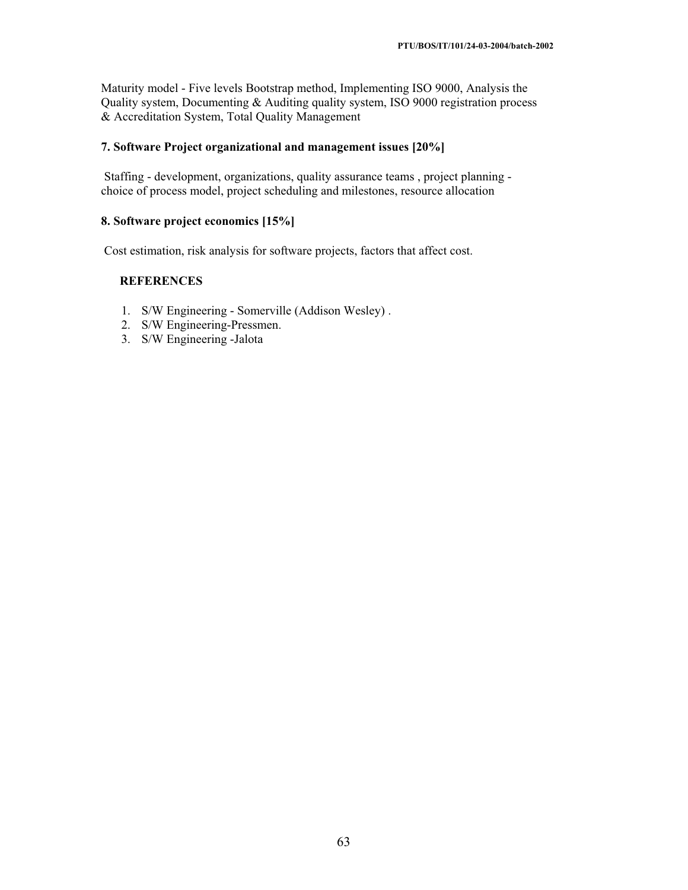Maturity model - Five levels Bootstrap method, Implementing ISO 9000, Analysis the Quality system, Documenting & Auditing quality system, ISO 9000 registration process & Accreditation System, Total Quality Management

## **7. Software Project organizational and management issues [20%]**

 Staffing - development, organizations, quality assurance teams , project planning choice of process model, project scheduling and milestones, resource allocation

#### **8. Software project economics [15%]**

Cost estimation, risk analysis for software projects, factors that affect cost.

- 1. S/W Engineering Somerville (Addison Wesley) .
- 2. S/W Engineering-Pressmen.
- 3. S/W Engineering -Jalota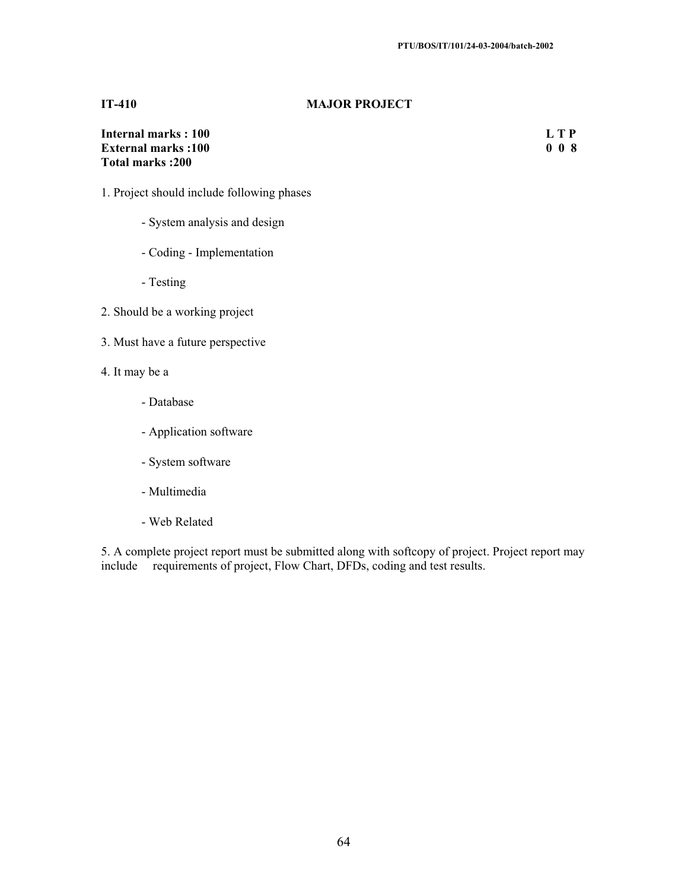#### **IT-410 MAJOR PROJECT**

| Internal marks: 100       | L T P |
|---------------------------|-------|
| <b>External marks:100</b> | 008   |
| <b>Total marks:200</b>    |       |

- 1. Project should include following phases
	- System analysis and design
	- Coding Implementation
	- Testing
- 2. Should be a working project
- 3. Must have a future perspective
- 4. It may be a
	- Database
	- Application software
	- System software
	- Multimedia
	- Web Related

5. A complete project report must be submitted along with softcopy of project. Project report may include requirements of project, Flow Chart, DFDs, coding and test results.